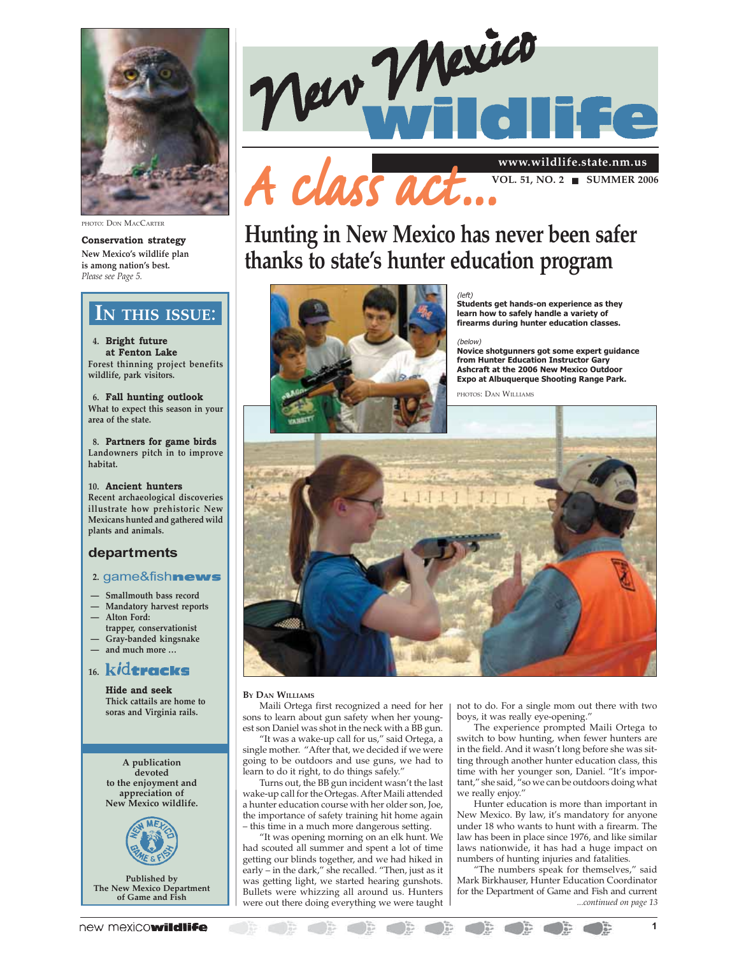

PHOTO: DON MACCARTER

**Conservation strategy New Mexico's wildlife plan is among nation's best.** *Please see Page 5.*

### **IN THIS ISSUE**:

**4. Bright future at Fenton Lake Forest thinning project benefits wildlife, park visitors.**

**6. Fall hunting outlook What to expect this season in your area of the state.**

**8. Partners for game birds Landowners pitch in to improve habitat.**

**10. Ancient hunters Recent archaeological discoveries illustrate how prehistoric New Mexicans hunted and gathered wild plants and animals.**

### **departments**

### **2.** game&fishnews

- **Smallmouth bass record**
- **Mandatory harvest reports — Alton Ford:**
- **trapper, conservationist — Gray-banded kingsnake**
- **and much more …**

### 16. kid<del>tracks</del>

**Hide and seek Thick cattails are home to soras and Virginia rails.**

**A publication devoted to the enjoyment and appreciation of New Mexico wildlife.**



**Published by The New Mexico Department of Game and Fish**



**VOL. 51, NO. 2 ■ SUMMER 2006** 

# **Hunting in New Mexico has never been safer thanks to state's hunter education program**



(left) **Students get hands-on experience as they learn how to safely handle a variety of firearms during hunter education classes.**

### (below)

**Novice shotgunners got some expert guidance from Hunter Education Instructor Gary Ashcraft at the 2006 New Mexico Outdoor Expo at Albuquerque Shooting Range Park.**

PHOTOS: DAN WILLIAMS



### **BY DAN WILLIAMS**

Maili Ortega first recognized a need for her sons to learn about gun safety when her youngest son Daniel was shot in the neck with a BB gun.

"It was a wake-up call for us," said Ortega, a single mother. "After that, we decided if we were going to be outdoors and use guns, we had to

learn to do it right, to do things safely.' Turns out, the BB gun incident wasn't the last wake-up call for the Ortegas. After Maili attended a hunter education course with her older son, Joe, the importance of safety training hit home again – this time in a much more dangerous setting.

"It was opening morning on an elk hunt. We had scouted all summer and spent a lot of time getting our blinds together, and we had hiked in early – in the dark," she recalled. "Then, just as it was getting light, we started hearing gunshots. Bullets were whizzing all around us. Hunters were out there doing everything we were taught not to do. For a single mom out there with two boys, it was really eye-opening.'

The experience prompted Maili Ortega to switch to bow hunting, when fewer hunters are in the field. And it wasn't long before she was sitting through another hunter education class, this time with her younger son, Daniel. "It's important," she said, "so we can be outdoors doing what we really enjoy."

Hunter education is more than important in New Mexico. By law, it's mandatory for anyone under 18 who wants to hunt with a firearm. The law has been in place since 1976, and like similar laws nationwide, it has had a huge impact on numbers of hunting injuries and fatalities.

"The numbers speak for themselves," said Mark Birkhauser, Hunter Education Coordinator for the Department of Game and Fish and current *...continued on page 13*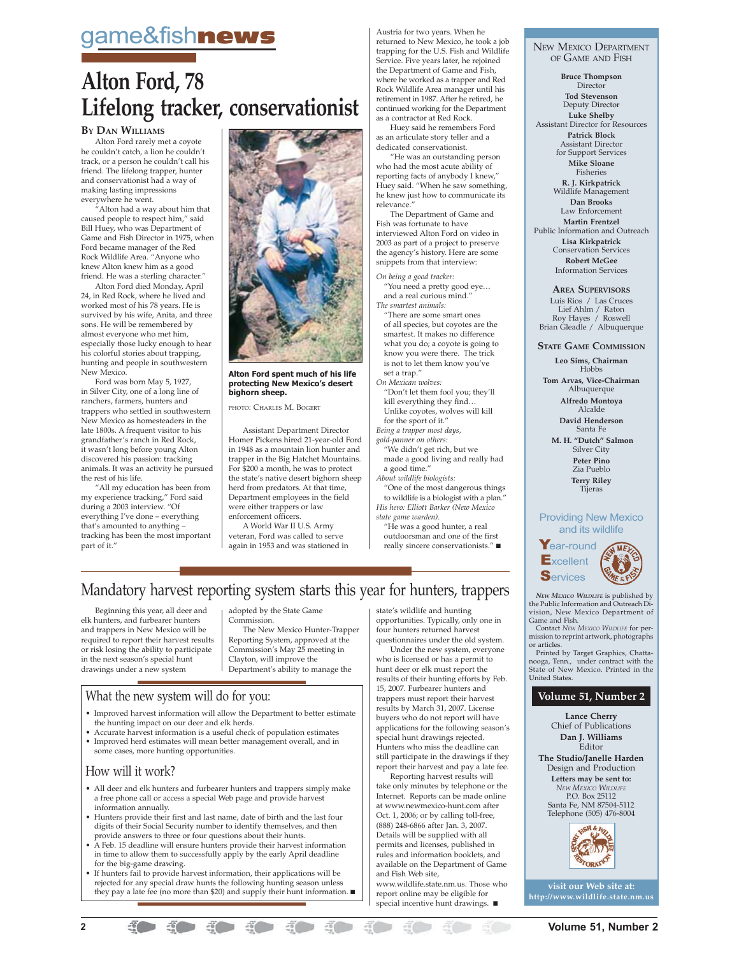# game&fish**news**

# **Alton Ford, 78 Lifelong tracker, conservationist**

### **BY DAN WILLIAMS**

Alton Ford rarely met a coyote he couldn't catch, a lion he couldn't track, or a person he couldn't call his friend. The lifelong trapper, hunter and conservationist had a way of making lasting impressions everywhere he went.

"Alton had a way about him that caused people to respect him," said Bill Huey, who was Department of Game and Fish Director in 1975, when Ford became manager of the Red Rock Wildlife Area. "Anyone who knew Alton knew him as a good friend. He was a sterling character."

Alton Ford died Monday, April 24, in Red Rock, where he lived and worked most of his 78 years. He is survived by his wife, Anita, and three sons. He will be remembered by almost everyone who met him, especially those lucky enough to hear his colorful stories about trapping, hunting and people in southwestern New Mexico.

Ford was born May 5, 1927, in Silver City, one of a long line of ranchers, farmers, hunters and trappers who settled in southwestern New Mexico as homesteaders in the late 1800s. A frequent visitor to his grandfather's ranch in Red Rock, it wasn't long before young Alton discovered his passion: tracking animals. It was an activity he pursued the rest of his life.

"All my education has been from my experience tracking," Ford said during a 2003 interview. "Of everything I've done – everything that's amounted to anything – tracking has been the most important part of it."



### **Alton Ford spent much of his life protecting New Mexico's desert bighorn sheep.**

PHOTO: CHARLES M. BOGERT

Assistant Department Director Homer Pickens hired 21-year-old Ford in 1948 as a mountain lion hunter and trapper in the Big Hatchet Mountains. For \$200 a month, he was to protect the state's native desert bighorn sheep herd from predators. At that time, Department employees in the field were either trappers or law enforcement officers.

A World War II U.S. Army veteran, Ford was called to serve again in 1953 and was stationed in

Austria for two years. When he returned to New Mexico, he took a job trapping for the U.S. Fish and Wildlife Service. Five years later, he rejoined the Department of Game and Fish, where he worked as a trapper and Red Rock Wildlife Area manager until his retirement in 1987. After he retired, he continued working for the Department as a contractor at Red Rock.

Huey said he remembers Ford as an articulate story teller and a dedicated conservationist.

"He was an outstanding person who had the most acute ability of reporting facts of anybody I knew," Huey said. "When he saw something, he knew just how to communicate its relevance.

The Department of Game and Fish was fortunate to have interviewed Alton Ford on video in 2003 as part of a project to preserve the agency's history. Here are some snippets from that interview:

*On being a good tracker:* "You need a pretty good eye…

and a real curious mind." *The smartest animals:*

"There are some smart ones of all species, but coyotes are the smartest. It makes no difference what you do; a coyote is going to know you were there. The trick is not to let them know you've set a trap."

*On Mexican wolves:* "Don't let them fool you; they'll kill everything they find…

Unlike coyotes, wolves will kill for the sport of it."

*Being a trapper most days, gold-panner on others:*

"We didn't get rich, but we

made a good living and really had a good time."

*About wildlife biologists:*

"One of the most dangerous things to wildlife is a biologist with a plan." *His hero: Elliott Barker (New Mexico*

*state game warden).* "He was a good hunter, a real outdoorsman and one of the first

really sincere conservationists." ■

NEW MEXICO DEPARTMENT OF GAME AND FISH

**Bruce Thompson** Director **Tod Stevenson** Deputy Director **Luke Shelby** Assistant Director for Resources **Patrick Block** Assistant Director for Support Services **Mike Sloane** Fisheries **R. J. Kirkpatrick** Wildlife Management **Dan Brooks** Law Enforcement **Martin Frentzel** Public Information and Outreach **Lisa Kirkpatrick** Conservation Services **Robert McGee** Information Services

**AREA SUPERVISORS**

Luis Rios / Las Cruces Lief Ahlm / Raton Roy Hayes / Roswell Brian Gleadle / Albuquerque

**STATE GAME COMMISSION**

**Leo Sims, Chairman** Hobbs

**Tom Arvas, Vice-Chairman** Albuquerque **Alfredo Montoya**

Alcalde **David Henderson**

Santa Fe  **M. H. "Dutch" Salmon** Silver City **Peter Pino**

Zia Pueblo **Terry Riley** Tijeras

### Providing New Mexico and its wildlife



*NEW MEXICO WILDLIFE* is published by<br>the Public Information and Outreach Di-<br>vision, New Mexico Department of Game and Fish. Contact *NEW MEXICO WILDLIFE* for per-

mission to reprint artwork, photographs or articles.

Printed by Target Graphics, Chattanooga, Tenn., under contract with the State of New Mexico. Printed in the United States.

### **Volume 51, Number 2**

**Lance Cherry** Chief of Publications **Dan J. Williams** Editor

**The Studio/Janelle Harden** Design and Production

**Letters may be sent to:** *NEW MEXICO WILDLIFE* P.O. Box 25112 Santa Fe, NM 87504-5112 Telephone (505) 476-8004





# Mandatory harvest reporting system starts this year for hunters, trappers

Beginning this year, all deer and elk hunters, and furbearer hunters and trappers in New Mexico will be required to report their harvest results or risk losing the ability to participate in the next season's special hunt drawings under a new system

adopted by the State Game Commission.

The New Mexico Hunter-Trapper Reporting System, approved at the Commission's May 25 meeting in Clayton, will improve the Department's ability to manage the

### What the new system will do for you:

- Improved harvest information will allow the Department to better estimate the hunting impact on our deer and elk herds.
- Accurate harvest information is a useful check of population estimates • Improved herd estimates will mean better management overall, and in some cases, more hunting opportunities.

### How will it work?

- All deer and elk hunters and furbearer hunters and trappers simply make a free phone call or access a special Web page and provide harvest information annually.
- Hunters provide their first and last name, date of birth and the last four digits of their Social Security number to identify themselves, and then
- provide answers to three or four questions about their hunts. A Feb. 15 deadline will ensure hunters provide their harvest information in time to allow them to successfully apply by the early April deadline for the big-game drawing.
- If hunters fail to provide harvest information, their applications will be rejected for any special draw hunts the following hunting season unless they pay a late fee (no more than \$20) and supply their hunt information. ■

state's wildlife and hunting opportunities. Typically, only one in four hunters returned harvest

questionnaires under the old system. Under the new system, everyone who is licensed or has a permit to hunt deer or elk must report the results of their hunting efforts by Feb. 15, 2007. Furbearer hunters and trappers must report their harvest results by March 31, 2007. License buyers who do not report will have applications for the following season's special hunt drawings rejected. Hunters who miss the deadline can still participate in the drawings if they report their harvest and pay a late fee.

Reporting harvest results will take only minutes by telephone or the Internet. Reports can be made online at www.newmexico-hunt.com after Oct. 1, 2006; or by calling toll-free, (888) 248-6866 after Jan. 3, 2007. Details will be supplied with all permits and licenses, published in rules and information booklets, and available on the Department of Game and Fish Web site, www.wildlife.state.nm.us. Those who report online may be eligible for special incentive hunt drawings. ■

**2 10 in the set of the set of the set of the set of the set of the set of the set of the set of the set of the set of the set of the set of the set of the set of the set of the set of the set of the set of the set of th**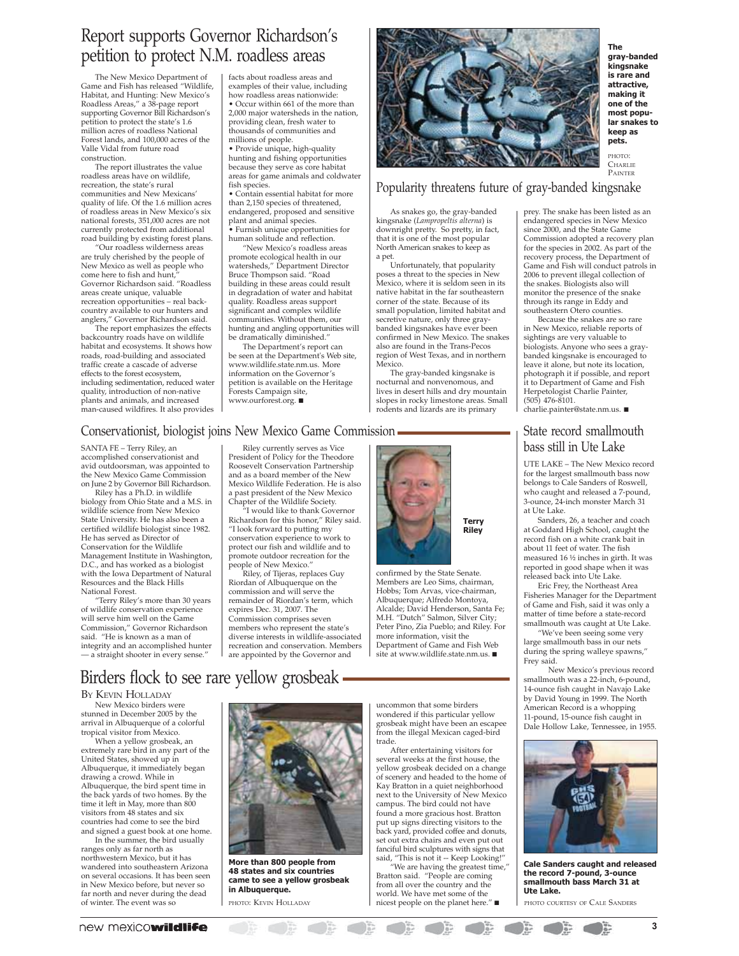## Report supports Governor Richardson's petition to protect N.M. roadless areas

The New Mexico Department of Game and Fish has released "Wildlife, Habitat, and Hunting: New Mexico's Roadless Areas," a 38-page report supporting Governor Bill Richardson's petition to protect the state's 1.6 million acres of roadless National Forest lands, and 100,000 acres of the Valle Vidal from future road construction.

The report illustrates the value roadless areas have on wildlife, recreation, the state's rural communities and New Mexicans' quality of life. Of the 1.6 million acres of roadless areas in New Mexico's six national forests, 351,000 acres are not currently protected from additional road building by existing forest plans.

"Our roadless wilderness areas are truly cherished by the people of New Mexico as well as people who come here to fish and hunt, Governor Richardson said. "Roadless areas create unique, valuable recreation opportunities – real back-country available to our hunters and anglers," Governor Richardson said.

The report emphasizes the effects backcountry roads have on wildlife habitat and ecosystems. It shows how roads, road-building and associated traffic create a cascade of adverse effects to the forest ecosystem, including sedimentation, reduced water quality, introduction of non-native plants and animals, and increased man-caused wildfires. It also provides facts about roadless areas and examples of their value, including how roadless areas nationwide: • Occur within 661 of the more than 2,000 major watersheds in the nation, providing clean, fresh water to thousands of communities and millions of people.

• Provide unique, high-quality hunting and fishing opportunities because they serve as core habitat areas for game animals and coldwater fish species.

• Contain essential habitat for more than 2,150 species of threatened, endangered, proposed and sensitive plant and animal species. • Furnish unique opportunities for human solitude and reflection.

"New Mexico's roadless areas promote ecological health in our watersheds," Department Director Bruce Thompson said. "Road building in these areas could result in degradation of water and habitat quality. Roadless areas support significant and complex wildlife communities. Without them, our hunting and angling opportunities will be dramatically diminished."

The Department's report can be seen at the Department's Web site, www.wildlife.state.nm.us. More information on the Governor's petition is available on the Heritage Forests Campaign site, www.ourforest.org. ■



**The gray-banded kingsnake is rare and attractive, making it one of the most popular snakes to keep as pets.**

PHOTO: **CHARLIE** PAINTER

Popularity threatens future of gray-banded kingsnake

As snakes go, the gray-banded kingsnake (*Lampropeltis alterna*) is downright pretty. So pretty, in fact, that it is one of the most popular North American snakes to keep as a pet.

Unfortunately, that popularity poses a threat to the species in New Mexico, where it is seldom seen in its native habitat in the far southeastern corner of the state. Because of its small population, limited habitat and secretive nature, only three graybanded kingsnakes have ever been confirmed in New Mexico. The snakes also are found in the Trans-Pecos region of West Texas, and in northern Mexico.

The gray-banded kingsnake is nocturnal and nonvenomous, and lives in desert hills and dry mountain slopes in rocky limestone areas. Small rodents and lizards are its primary

### Conservationist, biologist joins New Mexico Game Commission

SANTA FE – Terry Riley, an accomplished conservationist and avid outdoorsman, was appointed to the New Mexico Game Commission on June 2 by Governor Bill Richardson.

Riley has a Ph.D. in wildlife biology from Ohio State and a M.S. in wildlife science from New Mexico State University. He has also been a certified wildlife biologist since 1982. He has served as Director of Conservation for the Wildlife Management Institute in Washington, D.C., and has worked as a biologist with the Iowa Department of Natural Resources and the Black Hills National Forest.

"Terry Riley's more than 30 years of wildlife conservation experience will serve him well on the Game Commission," Governor Richardson said. "He is known as a man of integrity and an accomplished hunter — a straight shooter in every sense."

Riley currently serves as Vice President of Policy for the Theodore Roosevelt Conservation Partnership and as a board member of the New Mexico Wildlife Federation. He is also a past president of the New Mexico Chapter of the Wildlife Society.

"I would like to thank Governor Richardson for this honor," Riley said. "I look forward to putting my conservation experience to work to protect our fish and wildlife and to promote outdoor recreation for the people of New Mexico."

Riley, of Tijeras, replaces Guy Riordan of Albuquerque on the commission and will serve the remainder of Riordan's term, which expires Dec. 31, 2007. The Commission comprises seven members who represent the state's diverse interests in wildlife-associated recreation and conservation. Members are appointed by the Governor and



confirmed by the State Senate. Members are Leo Sims, chairman, Hobbs; Tom Arvas, vice-chairman, Albuquerque; Alfredo Montoya, Alcalde; David Henderson, Santa Fe; M.H. "Dutch" Salmon, Silver City; Peter Pino, Zia Pueblo; and Riley. For more information, visit the Department of Game and Fish Web site at www.wildlife.state.nm.us. ■

Birders flock to see rare yellow grosbeak

BY KEVIN HOLLADAY

New Mexico birders were stunned in December 2005 by the arrival in Albuquerque of a colorful tropical visitor from Mexico.

When a yellow grosbeak, an extremely rare bird in any part of the United States, showed up in Albuquerque, it immediately began drawing a crowd. While in Albuquerque, the bird spent time in the back yards of two homes. By the time it left in May, more than 800 visitors from 48 states and six countries had come to see the bird and signed a guest book at one home.

In the summer, the bird usually ranges only as far north as northwestern Mexico, but it has wandered into southeastern Arizona on several occasions. It has been seen in New Mexico before, but never so far north and never during the dead of winter. The event was so



**More than 800 people from 48 states and six countries came to see a yellow grosbeak in Albuquerque.**

uncommon that some birders wondered if this particular yellow grosbeak might have been an escapee from the illegal Mexican caged-bird trade.

After entertaining visitors for several weeks at the first house, the yellow grosbeak decided on a change of scenery and headed to the home of Kay Bratton in a quiet neighborhood next to the University of New Mexico campus. The bird could not have found a more gracious host. Bratton put up signs directing visitors to the back yard, provided coffee and donuts, set out extra chairs and even put out fanciful bird sculptures with signs that said, "This is not it -- Keep Looking!"

"We are having the greatest time," Bratton said. "People are coming from all over the country and the world. We have met some of the PHOTO: KEVIN HOLLADAY nicest people on the planet here." ■ PHOTO COURTESY OF CALE SANDERS

prey. The snake has been listed as an endangered species in New Mexico since 2000, and the State Game Commission adopted a recovery plan for the species in 2002. As part of the recovery process, the Department of Game and Fish will conduct patrols in 2006 to prevent illegal collection of the snakes. Biologists also will monitor the presence of the snake through its range in Eddy and southeastern Otero counties.

Because the snakes are so rare in New Mexico, reliable reports of sightings are very valuable to biologists. Anyone who sees a graybanded kingsnake is encouraged to leave it alone, but note its location, photograph it if possible, and report it to Department of Game and Fish Herpetologist Charlie Painter, (505) 476-8101.

charlie.painter@state.nm.us. ■

### State record smallmouth bass still in Ute Lake

UTE LAKE – The New Mexico record for the largest smallmouth bass now belongs to Cale Sanders of Roswell, who caught and released a 7-pound, 3-ounce, 24-inch monster March 31 at Ute Lake.

Sanders, 26, a teacher and coach at Goddard High School, caught the record fish on a white crank bait in about 11 feet of water. The fish measured 16 ½ inches in girth. It was reported in good shape when it was released back into Ute Lake.

Eric Frey, the Northeast Area Fisheries Manager for the Department of Game and Fish, said it was only a matter of time before a state-record smallmouth was caught at Ute Lake.

"We've been seeing some very large smallmouth bass in our nets during the spring walleye spawns," Frey said.

 New Mexico's previous record smallmouth was a 22-inch, 6-pound, 14-ounce fish caught in Navajo Lake by David Young in 1999. The North American Record is a whopping 11-pound, 15-ounce fish caught in Dale Hollow Lake, Tennessee, in 1955.



**Cale Sanders caught and released the record 7-pound, 3-ounce smallmouth bass March 31 at Ute Lake.**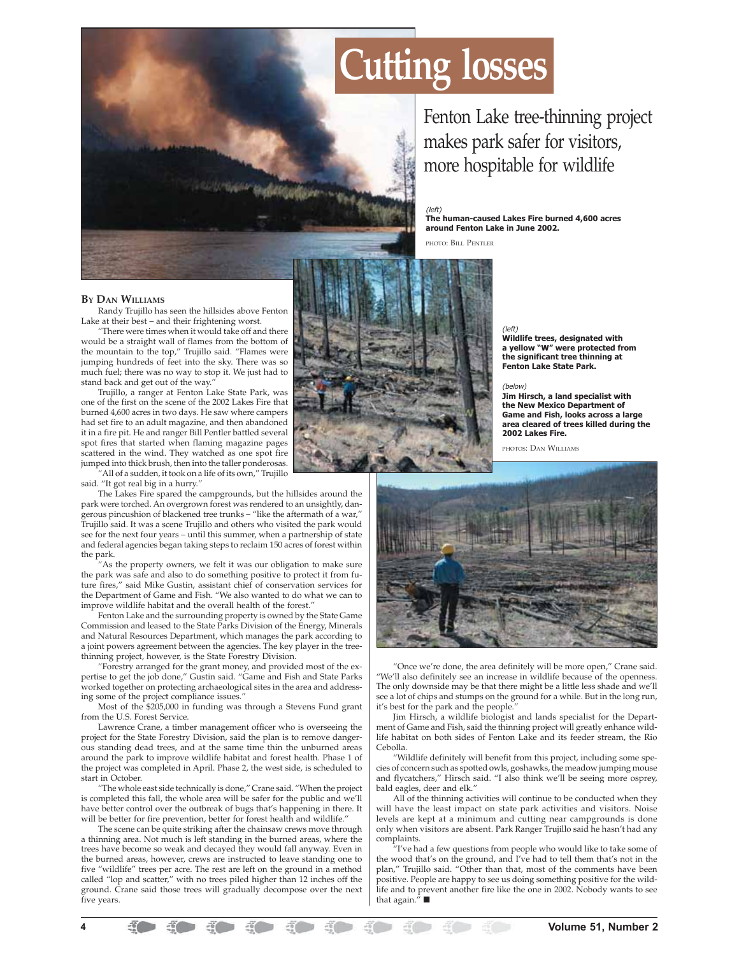

Fenton Lake tree-thinning project makes park safer for visitors, more hospitable for wildlife

### (left)

**The human-caused Lakes Fire burned 4,600 acres around Fenton Lake in June 2002.**

PHOTO: BILL PENTLER

### **BY DAN WILLIAMS**

Randy Trujillo has seen the hillsides above Fenton Lake at their best – and their frightening worst.

"There were times when it would take off and there would be a straight wall of flames from the bottom of the mountain to the top," Trujillo said. "Flames were jumping hundreds of feet into the sky. There was so much fuel; there was no way to stop it. We just had to stand back and get out of the way.

Trujillo, a ranger at Fenton Lake State Park, was one of the first on the scene of the 2002 Lakes Fire that burned 4,600 acres in two days. He saw where campers had set fire to an adult magazine, and then abandoned it in a fire pit. He and ranger Bill Pentler battled several spot fires that started when flaming magazine pages scattered in the wind. They watched as one spot fire jumped into thick brush, then into the taller ponderosas.

"All of a sudden, it took on a life of its own," Trujillo said. "It got real big in a hurry."

The Lakes Fire spared the campgrounds, but the hillsides around the park were torched. An overgrown forest was rendered to an unsightly, dangerous pincushion of blackened tree trunks – "like the aftermath of a war," Trujillo said. It was a scene Trujillo and others who visited the park would see for the next four years – until this summer, when a partnership of state and federal agencies began taking steps to reclaim 150 acres of forest within the park.

"As the property owners, we felt it was our obligation to make sure the park was safe and also to do something positive to protect it from future fires," said Mike Gustin, assistant chief of conservation services for the Department of Game and Fish. "We also wanted to do what we can to improve wildlife habitat and the overall health of the forest.

Fenton Lake and the surrounding property is owned by the State Game Commission and leased to the State Parks Division of the Energy, Minerals and Natural Resources Department, which manages the park according to a joint powers agreement between the agencies. The key player in the treethinning project, however, is the State Forestry Division.

"Forestry arranged for the grant money, and provided most of the expertise to get the job done," Gustin said. "Game and Fish and State Parks worked together on protecting archaeological sites in the area and addressing some of the project compliance issues.

Most of the \$205,000 in funding was through a Stevens Fund grant from the U.S. Forest Service.

Lawrence Crane, a timber management officer who is overseeing the project for the State Forestry Division, said the plan is to remove dangerous standing dead trees, and at the same time thin the unburned areas around the park to improve wildlife habitat and forest health. Phase 1 of the project was completed in April. Phase 2, the west side, is scheduled to start in October.

"The whole east side technically is done," Crane said. "When the project is completed this fall, the whole area will be safer for the public and we'll have better control over the outbreak of bugs that's happening in there. It will be better for fire prevention, better for forest health and wildlife."

The scene can be quite striking after the chainsaw crews move through a thinning area. Not much is left standing in the burned areas, where the trees have become so weak and decayed they would fall anyway. Even in the burned areas, however, crews are instructed to leave standing one to five "wildlife" trees per acre. The rest are left on the ground in a method called "lop and scatter," with no trees piled higher than 12 inches off the ground. Crane said those trees will gradually decompose over the next five years.



(left) **Wildlife trees, designated with a yellow "W" were protected from the significant tree thinning at Fenton Lake State Park.**

### (below)

**Jim Hirsch, a land specialist with the New Mexico Department of Game and Fish, looks across a large area cleared of trees killed during the 2002 Lakes Fire.**

PHOTOS: DAN WILLIAMS



"Once we're done, the area definitely will be more open," Crane said. "We'll also definitely see an increase in wildlife because of the openness. The only downside may be that there might be a little less shade and we'll see a lot of chips and stumps on the ground for a while. But in the long run, it's best for the park and the people.

Jim Hirsch, a wildlife biologist and lands specialist for the Department of Game and Fish, said the thinning project will greatly enhance wildlife habitat on both sides of Fenton Lake and its feeder stream, the Rio Cebolla.

"Wildlife definitely will benefit from this project, including some species of concern such as spotted owls, goshawks, the meadow jumping mouse and flycatchers," Hirsch said. "I also think we'll be seeing more osprey, bald eagles, deer and elk."

All of the thinning activities will continue to be conducted when they will have the least impact on state park activities and visitors. Noise levels are kept at a minimum and cutting near campgrounds is done only when visitors are absent. Park Ranger Trujillo said he hasn't had any complaints.

"I've had a few questions from people who would like to take some of the wood that's on the ground, and I've had to tell them that's not in the plan," Trujillo said. "Other than that, most of the comments have been positive. People are happy to see us doing something positive for the wildlife and to prevent another fire like the one in 2002. Nobody wants to see that again."  $\blacksquare$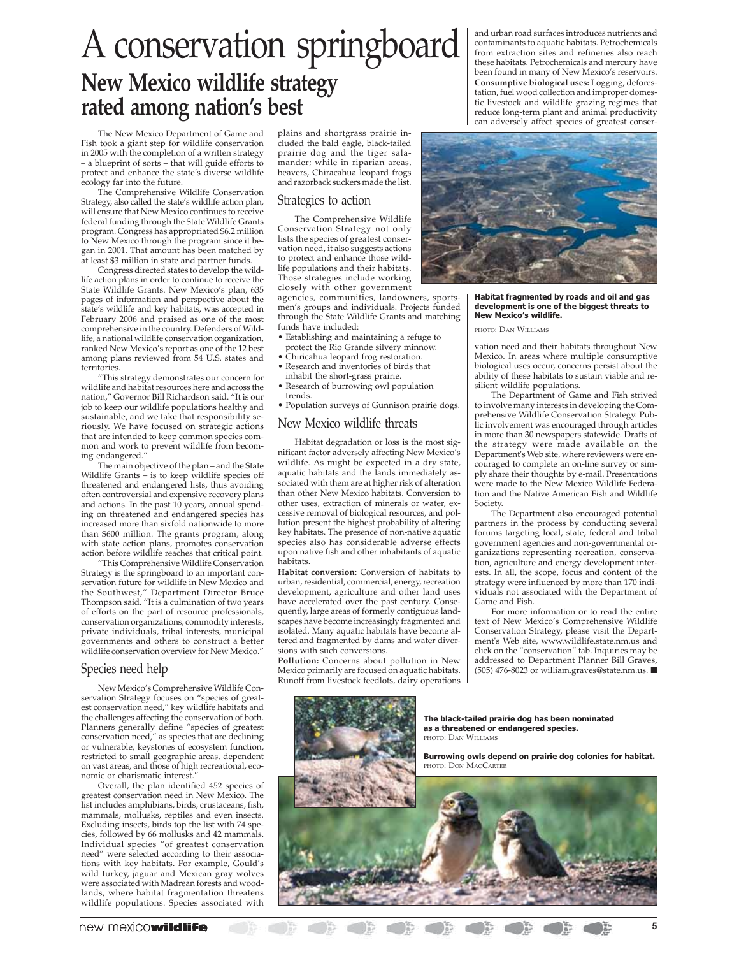# A conservation springboard **New Mexico wildlife strategy rated among nation's best**

The New Mexico Department of Game and Fish took a giant step for wildlife conservation in 2005 with the completion of a written strategy – a blueprint of sorts – that will guide efforts to protect and enhance the state's diverse wildlife ecology far into the future.

The Comprehensive Wildlife Conservation Strategy, also called the state's wildlife action plan, will ensure that New Mexico continues to receive federal funding through the State Wildlife Grants program. Congress has appropriated \$6.2 million to New Mexico through the program since it began in 2001. That amount has been matched by at least \$3 million in state and partner funds.

Congress directed states to develop the wildlife action plans in order to continue to receive the State Wildlife Grants. New Mexico's plan, 635 pages of information and perspective about the state's wildlife and key habitats, was accepted in February 2006 and praised as one of the most comprehensive in the country. Defenders of Wildlife, a national wildlife conservation organization, ranked New Mexico's report as one of the 12 best among plans reviewed from 54 U.S. states and territories.

"This strategy demonstrates our concern for wildlife and habitat resources here and across the nation," Governor Bill Richardson said. "It is our job to keep our wildlife populations healthy and sustainable, and we take that responsibility seriously. We have focused on strategic actions that are intended to keep common species common and work to prevent wildlife from becoming endangered."

The main objective of the plan – and the State Wildlife Grants  $-$  is to keep wildlife species off threatened and endangered lists, thus avoiding often controversial and expensive recovery plans and actions. In the past 10 years, annual spending on threatened and endangered species has increased more than sixfold nationwide to more than \$600 million. The grants program, along with state action plans, promotes conservation action before wildlife reaches that critical point.

"This Comprehensive Wildlife Conservation Strategy is the springboard to an important conservation future for wildlife in New Mexico and the Southwest," Department Director Bruce Thompson said. "It is a culmination of two years of efforts on the part of resource professionals, conservation organizations, commodity interests, private individuals, tribal interests, municipal governments and others to construct a better wildlife conservation overview for New Mexico."

### Species need help

New Mexico's Comprehensive Wildlife Conservation Strategy focuses on "species of greatest conservation need," key wildlife habitats and the challenges affecting the conservation of both. Planners generally define "species of greatest conservation need," as species that are declining or vulnerable, keystones of ecosystem function, restricted to small geographic areas, dependent on vast areas, and those of high recreational, economic or charismatic interest."

Overall, the plan identified 452 species of greatest conservation need in New Mexico. The list includes amphibians, birds, crustaceans, fish, mammals, mollusks, reptiles and even insects. Excluding insects, birds top the list with 74 species, followed by 66 mollusks and 42 mammals. Individual species "of greatest conservation need" were selected according to their associations with key habitats. For example, Gould's wild turkey, jaguar and Mexican gray wolves were associated with Madrean forests and woodlands, where habitat fragmentation threatens wildlife populations. Species associated with

plains and shortgrass prairie included the bald eagle, black-tailed prairie dog and the tiger salamander; while in riparian areas, beavers, Chiracahua leopard frogs and razorback suckers made the list.

### Strategies to action

The Comprehensive Wildlife Conservation Strategy not only lists the species of greatest conservation need, it also suggests actions to protect and enhance those wildlife populations and their habitats. Those strategies include working closely with other government

agencies, communities, landowners, sportsmen's groups and individuals. Projects funded through the State Wildlife Grants and matching funds have included:

- Establishing and maintaining a refuge to protect the Rio Grande silvery minnow.
- Chiricahua leopard frog restoration.
- Research and inventories of birds that inhabit the short-grass prairie.
- Research of burrowing owl population trends.
- Population surveys of Gunnison prairie dogs.

### New Mexico wildlife threats

Habitat degradation or loss is the most significant factor adversely affecting New Mexico's wildlife. As might be expected in a dry state, aquatic habitats and the lands immediately associated with them are at higher risk of alteration than other New Mexico habitats. Conversion to other uses, extraction of minerals or water, excessive removal of biological resources, and pollution present the highest probability of altering key habitats. The presence of non-native aquatic species also has considerable adverse effects upon native fish and other inhabitants of aquatic habitats.

**Habitat conversion:** Conversion of habitats to urban, residential, commercial, energy, recreation development, agriculture and other land uses have accelerated over the past century. Consequently, large areas of formerly contiguous landscapes have become increasingly fragmented and isolated. Many aquatic habitats have become altered and fragmented by dams and water diversions with such conversions.

**Pollution:** Concerns about pollution in New Mexico primarily are focused on aquatic habitats. Runoff from livestock feedlots, dairy operations and urban road surfaces introduces nutrients and contaminants to aquatic habitats. Petrochemicals from extraction sites and refineries also reach these habitats. Petrochemicals and mercury have been found in many of New Mexico's reservoirs. **Consumptive biological uses:** Logging, deforestation, fuel wood collection and improper domestic livestock and wildlife grazing regimes that reduce long-term plant and animal productivity can adversely affect species of greatest conser-



### **Habitat fragmented by roads and oil and gas development is one of the biggest threats to New Mexico's wildlife.**

PHOTO: DAN WILLIAMS

vation need and their habitats throughout New Mexico. In areas where multiple consumptive biological uses occur, concerns persist about the ability of these habitats to sustain viable and resilient wildlife populations.

The Department of Game and Fish strived to involve many interests in developing the Comprehensive Wildlife Conservation Strategy. Public involvement was encouraged through articles in more than 30 newspapers statewide. Drafts of the strategy were made available on the Department's Web site, where reviewers were encouraged to complete an on-line survey or simply share their thoughts by e-mail. Presentations were made to the New Mexico Wildlife Federation and the Native American Fish and Wildlife Society.

The Department also encouraged potential partners in the process by conducting several forums targeting local, state, federal and tribal government agencies and non-governmental organizations representing recreation, conservation, agriculture and energy development interests. In all, the scope, focus and content of the strategy were influenced by more than 170 individuals not associated with the Department of Game and Fish.

For more information or to read the entire text of New Mexico's Comprehensive Wildlife Conservation Strategy, please visit the Department's Web site, www.wildlife.state.nm.us and click on the "conservation" tab. Inquiries may be addressed to Department Planner Bill Graves, (505) 476-8023 or william.graves@state.nm.us. ■

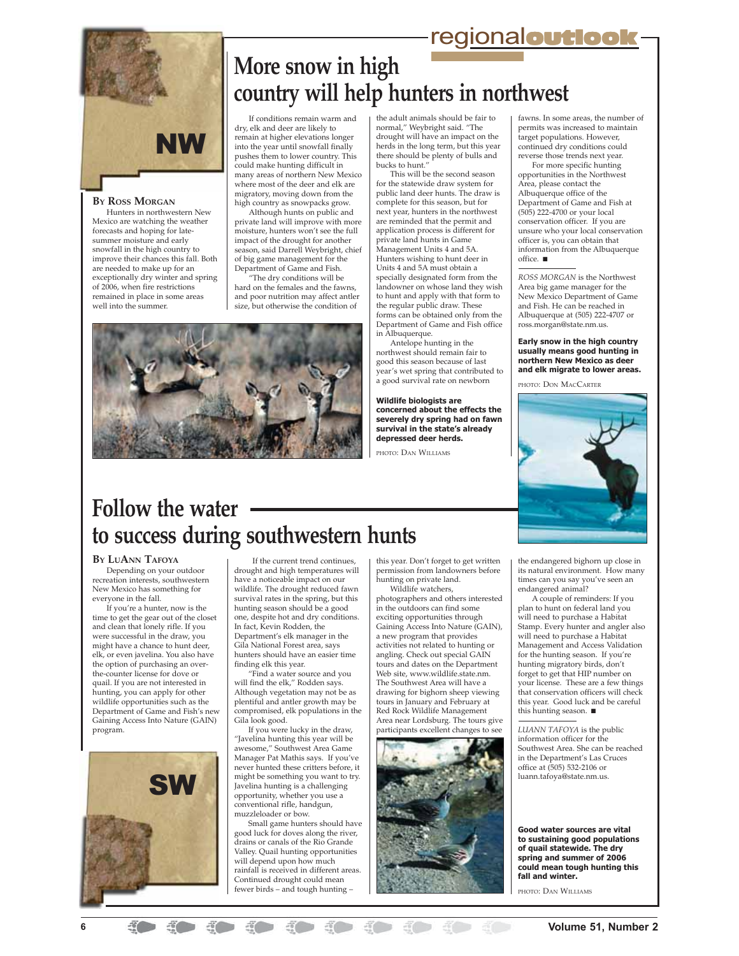# regional**outlook**



### **BY ROSS MORGAN**

Hunters in northwestern New Mexico are watching the weather forecasts and hoping for latesummer moisture and early snowfall in the high country to improve their chances this fall. Both are needed to make up for an exceptionally dry winter and spring of 2006, when fire restrictions remained in place in some areas well into the summer.

# **More snow in high country will help hunters in northwest**

If conditions remain warm and dry, elk and deer are likely to remain at higher elevations longer into the year until snowfall finally pushes them to lower country. This could make hunting difficult in many areas of northern New Mexico where most of the deer and elk are migratory, moving down from the high country as snowpacks grow.

Although hunts on public and private land will improve with more moisture, hunters won't see the full impact of the drought for another season, said Darrell Weybright, chief of big game management for the Department of Game and Fish.

"The dry conditions will be hard on the females and the fawns, and poor nutrition may affect antler size, but otherwise the condition of

the adult animals should be fair to normal," Weybright said. "The drought will have an impact on the herds in the long term, but this year there should be plenty of bulls and bucks to hunt."

This will be the second season for the statewide draw system for public land deer hunts. The draw is complete for this season, but for next year, hunters in the northwest are reminded that the permit and application process is different for private land hunts in Game .<br>Management Units 4 and 5A. Hunters wishing to hunt deer in Units 4 and 5A must obtain a specially designated form from the landowner on whose land they wish to hunt and apply with that form to the regular public draw. These forms can be obtained only from the Department of Game and Fish office in Albuquerque.

Antelope hunting in the northwest should remain fair to good this season because of last year's wet spring that contributed to a good survival rate on newborn

**Wildlife biologists are concerned about the effects the severely dry spring had on fawn survival in the state's already depressed deer herds.**

PHOTO: DAN WILLIAMS

fawns. In some areas, the number of permits was increased to maintain target populations. However, continued dry conditions could reverse those trends next year.

For more specific hunting opportunities in the Northwest Area, please contact the Albuquerque office of the Department of Game and Fish at (505) 222-4700 or your local conservation officer. If you are unsure who your local conservation officer is, you can obtain that information from the Albuquerque office. ■

*ROSS MORGAN* is the Northwest Area big game manager for the New Mexico Department of Game and Fish. He can be reached in Albuquerque at (505) 222-4707 or ross.morgan@state.nm.us.

### **Early snow in the high country usually means good hunting in northern New Mexico as deer and elk migrate to lower areas.**

PHOTO: DON MACCARTER



# **Follow the water to success during southwestern hunts**

### **BY LUANN TAFOYA**

Depending on your outdoor recreation interests, southwestern New Mexico has something for everyone in the fall.

If you're a hunter, now is the time to get the gear out of the closet and clean that lonely rifle. If you were successful in the draw, you might have a chance to hunt deer, elk, or even javelina. You also have the option of purchasing an overthe-counter license for dove or quail. If you are not interested in hunting, you can apply for other wildlife opportunities such as the Department of Game and Fish's new Gaining Access Into Nature (GAIN) program.



 If the current trend continues, drought and high temperatures will have a noticeable impact on our wildlife. The drought reduced fawn survival rates in the spring, but this hunting season should be a good one, despite hot and dry conditions. In fact, Kevin Rodden, the Department's elk manager in the Gila National Forest area, says hunters should have an easier time finding elk this year.

"Find a water source and you will find the elk," Rodden says. Although vegetation may not be as plentiful and antler growth may be compromised, elk populations in the Gila look good.

If you were lucky in the draw, "Javelina hunting this year will be awesome," Southwest Area Game Manager Pat Mathis says. If you've never hunted these critters before, it might be something you want to try. Javelina hunting is a challenging opportunity, whether you use a conventional rifle, handgun, muzzleloader or bow.

Small game hunters should have good luck for doves along the river, drains or canals of the Rio Grande Valley. Quail hunting opportunities will depend upon how much rainfall is received in different areas. Continued drought could mean fewer birds – and tough hunting –

this year. Don't forget to get written permission from landowners before hunting on private land. Wildlife watchers,

photographers and others interested in the outdoors can find some exciting opportunities through Gaining Access Into Nature (GAIN), a new program that provides activities not related to hunting or angling. Check out special GAIN tours and dates on the Department Web site, www.wildlife.state.nm. The Southwest Area will have a drawing for bighorn sheep viewing tours in January and February at Red Rock Wildlife Management Area near Lordsburg. The tours give participants excellent changes to see



the endangered bighorn up close in its natural environment. How many times can you say you've seen an endangered animal?

A couple of reminders: If you plan to hunt on federal land you .<br>will need to purchase a Habitat Stamp. Every hunter and angler also will need to purchase a Habitat Management and Access Validation for the hunting season. If you're hunting migratory birds, don't forget to get that HIP number on your license. These are a few things that conservation officers will check this year. Good luck and be careful this hunting season. ■

*LUANN TAFOYA* is the public information officer for the Southwest Area. She can be reached in the Department's Las Cruces office at (505) 532-2106 or luann.tafoya@state.nm.us.

**Good water sources are vital to sustaining good populations of quail statewide. The dry spring and summer of 2006 could mean tough hunting this fall and winter.**

PHOTO: DAN WILLIAMS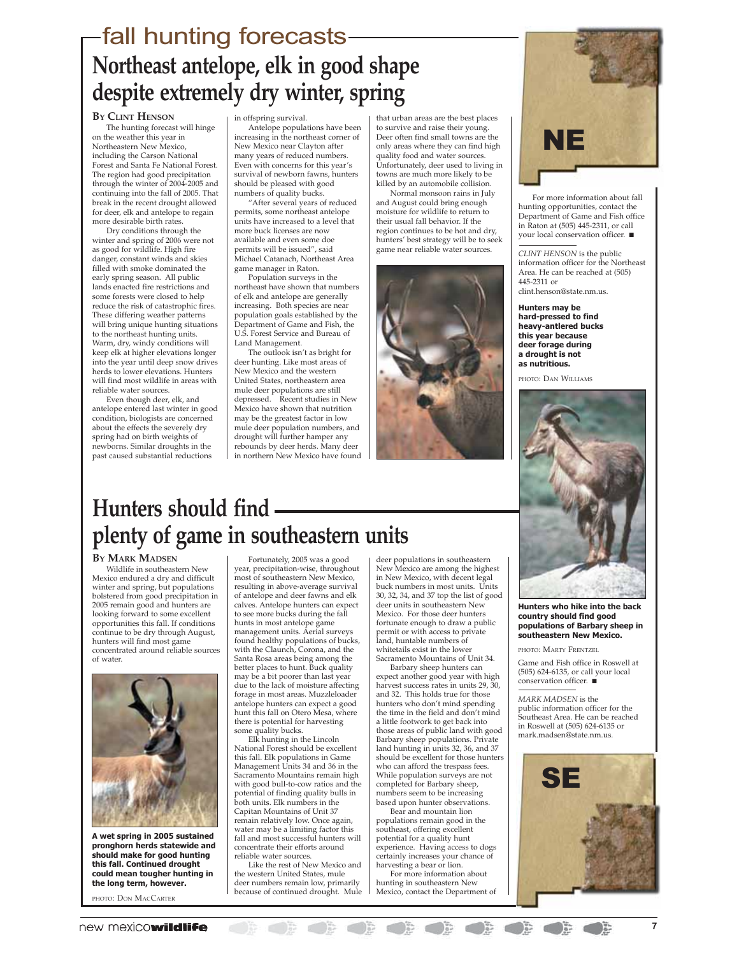# **Northeast antelope, elk in good shape despite extremely dry winter, spring** fall hunting forecasts

### **BY CLINT HENSON**

The hunting forecast will hinge on the weather this year in Northeastern New Mexico, including the Carson National Forest and Santa Fe National Forest. The region had good precipitation through the winter of 2004-2005 and continuing into the fall of 2005. That break in the recent drought allowed for deer, elk and antelope to regain more desirable birth rates.

Dry conditions through the winter and spring of 2006 were not as good for wildlife. High fire danger, constant winds and skies filled with smoke dominated the early spring season. All public lands enacted fire restrictions and some forests were closed to help reduce the risk of catastrophic fires. These differing weather patterns will bring unique hunting situations to the northeast hunting units. Warm, dry, windy conditions will keep elk at higher elevations longer into the year until deep snow drives herds to lower elevations. Hunters will find most wildlife in areas with reliable water sources.

Even though deer, elk, and antelope entered last winter in good condition, biologists are concerned about the effects the severely dry spring had on birth weights of newborns. Similar droughts in the past caused substantial reductions

in offspring survival.

Antelope populations have been increasing in the northeast corner of New Mexico near Clayton after many years of reduced numbers. Even with concerns for this year's survival of newborn fawns, hunters should be pleased with good numbers of quality bucks.

"After several years of reduced permits, some northeast antelope units have increased to a level that more buck licenses are now available and even some doe permits will be issued", said Michael Catanach, Northeast Area game manager in Raton.

Population surveys in the northeast have shown that numbers of elk and antelope are generally increasing. Both species are near population goals established by the Department of Game and Fish, the U.S. Forest Service and Bureau of Land Management.

The outlook isn't as bright for deer hunting. Like most areas of New Mexico and the western United States, northeastern area mule deer populations are still depressed. Recent studies in New Mexico have shown that nutrition may be the greatest factor in low mule deer population numbers, and drought will further hamper any rebounds by deer herds. Many deer in northern New Mexico have found

that urban areas are the best places to survive and raise their young. Deer often find small towns are the only areas where they can find high quality food and water sources. Unfortunately, deer used to living in towns are much more likely to be killed by an automobile collision.

Normal monsoon rains in July and August could bring enough moisture for wildlife to return to their usual fall behavior. If the region continues to be hot and dry, hunters' best strategy will be to seek game near reliable water sources.



# NE

For more information about fall hunting opportunities, contact the Department of Game and Fish office in Raton at (505) 445-2311, or call your local conservation officer. ■

*CLINT HENSON* is the public information officer for the Northeast Area. He can be reached at (505) 445-2311 or clint.henson@state.nm.us.

**Hunters may be hard-pressed to find heavy-antlered bucks this year because deer forage during a drought is not as nutritious.**

PHOTO: DAN WILLIAMS



### **Hunters who hike into the back country should find good populations of Barbary sheep in southeastern New Mexico.**

PHOTO: MARTY FRENTZEL

Game and Fish office in Roswell at (505) 624-6135, or call your local conservation officer. ■

*MARK MADSEN* is the public information officer for the Southeast Area. He can be reached in Roswell at (505) 624-6135 or mark.madsen@state.nm.us.



# **Hunters should find plenty of game in southeastern units**

### **BY MARK MADSEN**

Wildlife in southeastern New Mexico endured a dry and difficult winter and spring, but populations bolstered from good precipitation in 2005 remain good and hunters are looking forward to some excellent opportunities this fall. If conditions continue to be dry through August, hunters will find most game concentrated around reliable sources of water.



**A wet spring in 2005 sustained pronghorn herds statewide and should make for good hunting this fall. Continued drought could mean tougher hunting in the long term, however.**

PHOTO: DON MACCARTER

Fortunately, 2005 was a good year, precipitation-wise, throughout most of southeastern New Mexico, resulting in above-average survival of antelope and deer fawns and elk calves. Antelope hunters can expect to see more bucks during the fall hunts in most antelope game management units. Aerial surveys found healthy populations of bucks, with the Claunch, Corona, and the Santa Rosa areas being among the better places to hunt. Buck quality may be a bit poorer than last year due to the lack of moisture affecting forage in most areas. Muzzleloader antelope hunters can expect a good hunt this fall on Otero Mesa, where there is potential for harvesting some quality bucks.

Elk hunting in the Lincoln National Forest should be excellent this fall. Elk populations in Game Management Units 34 and 36 in the Sacramento Mountains remain high with good bull-to-cow ratios and the potential of finding quality bulls in both units. Elk numbers in the Capitan Mountains of Unit 37 remain relatively low. Once again, water may be a limiting factor this fall and most successful hunters will concentrate their efforts around reliable water sources.

Like the rest of New Mexico and the western United States, mule deer numbers remain low, primarily because of continued drought. Mule

deer populations in southeastern New Mexico are among the highest in New Mexico, with decent legal buck numbers in most units. Units 30, 32, 34, and 37 top the list of good deer units in southeastern New Mexico. For those deer hunters fortunate enough to draw a public permit or with access to private land, huntable numbers of whitetails exist in the lower Sacramento Mountains of Unit 34.

Barbary sheep hunters can expect another good year with high harvest success rates in units 29, 30, and 32. This holds true for those hunters who don't mind spending the time in the field and don't mind a little footwork to get back into those areas of public land with good Barbary sheep populations. Private land hunting in units 32, 36, and 37 should be excellent for those hunters who can afford the trespass fees. While population surveys are not completed for Barbary sheep, numbers seem to be increasing based upon hunter observations.

Bear and mountain lion populations remain good in the southeast, offering excellent potential for a quality hunt experience. Having access to dogs certainly increases your chance of harvesting a bear or lion. For more information about hunting in southeastern New Mexico, contact the Department of

 $\sum_{i=1}^{n}$ 

 $\bigcirc$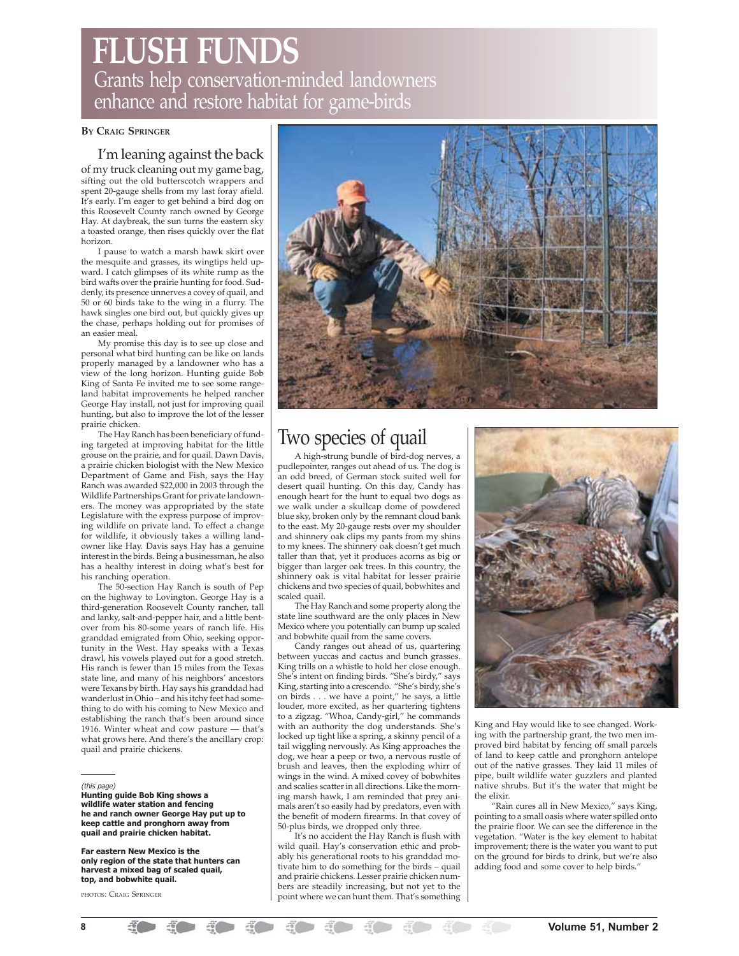# **FLUSH FUNDS** Grants help conservation-minded landowners enhance and restore habitat for game-birds

### **BY CRAIG SPRINGER**

### I'm leaning against the back

of my truck cleaning out my game bag, sifting out the old butterscotch wrappers and spent 20-gauge shells from my last foray afield. It's early. I'm eager to get behind a bird dog on this Roosevelt County ranch owned by George Hay. At daybreak, the sun turns the eastern sky a toasted orange, then rises quickly over the flat horizon.

I pause to watch a marsh hawk skirt over the mesquite and grasses, its wingtips held upward. I catch glimpses of its white rump as the bird wafts over the prairie hunting for food. Suddenly, its presence unnerves a covey of quail, and 50 or 60 birds take to the wing in a flurry. The hawk singles one bird out, but quickly gives up the chase, perhaps holding out for promises of an easier meal.

My promise this day is to see up close and personal what bird hunting can be like on lands properly managed by a landowner who has a view of the long horizon. Hunting guide Bob King of Santa Fe invited me to see some rangeland habitat improvements he helped rancher George Hay install, not just for improving quail hunting, but also to improve the lot of the lesser prairie chicken.

The Hay Ranch has been beneficiary of funding targeted at improving habitat for the little grouse on the prairie, and for quail. Dawn Davis, a prairie chicken biologist with the New Mexico Department of Game and Fish, says the Hay Ranch was awarded \$22,000 in 2003 through the Wildlife Partnerships Grant for private landowners. The money was appropriated by the state Legislature with the express purpose of improving wildlife on private land. To effect a change for wildlife, it obviously takes a willing landowner like Hay. Davis says Hay has a genuine interest in the birds. Being a businessman, he also has a healthy interest in doing what's best for his ranching operation.

The 50-section Hay Ranch is south of Pep on the highway to Lovington. George Hay is a third-generation Roosevelt County rancher, tall and lanky, salt-and-pepper hair, and a little bentover from his 80-some years of ranch life. His granddad emigrated from Ohio, seeking opportunity in the West. Hay speaks with a Texas drawl, his vowels played out for a good stretch. His ranch is fewer than 15 miles from the Texas state line, and many of his neighbors' ancestors were Texans by birth. Hay says his granddad had wanderlust in Ohio – and his itchy feet had something to do with his coming to New Mexico and establishing the ranch that's been around since 1916. Winter wheat and cow pasture — that's what grows here. And there's the ancillary crop: quail and prairie chickens.

### (this page)

**Hunting guide Bob King shows a wildlife water station and fencing he and ranch owner George Hay put up to keep cattle and pronghorn away from quail and prairie chicken habitat.**

**Far eastern New Mexico is the only region of the state that hunters can harvest a mixed bag of scaled quail, top, and bobwhite quail.**

PHOTOS: CRAIG SPRINGER



# Two species of quail

A high-strung bundle of bird-dog nerves, a pudlepointer, ranges out ahead of us. The dog is an odd breed, of German stock suited well for desert quail hunting. On this day, Candy has enough heart for the hunt to equal two dogs as we walk under a skullcap dome of powdered blue sky, broken only by the remnant cloud bank to the east. My 20-gauge rests over my shoulder and shinnery oak clips my pants from my shins to my knees. The shinnery oak doesn't get much taller than that, yet it produces acorns as big or bigger than larger oak trees. In this country, the shinnery oak is vital habitat for lesser prairie chickens and two species of quail, bobwhites and scaled quail.

The Hay Ranch and some property along the state line southward are the only places in New Mexico where you potentially can bump up scaled and bobwhite quail from the same covers.

Candy ranges out ahead of us, quartering between yuccas and cactus and bunch grasses. King trills on a whistle to hold her close enough. She's intent on finding birds. "She's birdy," says King, starting into a crescendo. "She's birdy, she's on birds . . . we have a point," he says, a little louder, more excited, as her quartering tightens to a zigzag. "Whoa, Candy-girl," he commands with an authority the dog understands. She's locked up tight like a spring, a skinny pencil of a tail wiggling nervously. As King approaches the dog, we hear a peep or two, a nervous rustle of brush and leaves, then the exploding whirr of wings in the wind. A mixed covey of bobwhites and scalies scatter in all directions. Like the morning marsh hawk, I am reminded that prey animals aren't so easily had by predators, even with the benefit of modern firearms. In that covey of 50-plus birds, we dropped only three.

It's no accident the Hay Ranch is flush with wild quail. Hay's conservation ethic and probably his generational roots to his granddad motivate him to do something for the birds – quail and prairie chickens. Lesser prairie chicken numbers are steadily increasing, but not yet to the point where we can hunt them. That's something



King and Hay would like to see changed. Working with the partnership grant, the two men improved bird habitat by fencing off small parcels of land to keep cattle and pronghorn antelope out of the native grasses. They laid 11 miles of pipe, built wildlife water guzzlers and planted native shrubs. But it's the water that might be the elixir.

"Rain cures all in New Mexico," says King, pointing to a small oasis where water spilled onto the prairie floor. We can see the difference in the vegetation. "Water is the key element to habitat improvement; there is the water you want to put on the ground for birds to drink, but we're also adding food and some cover to help birds."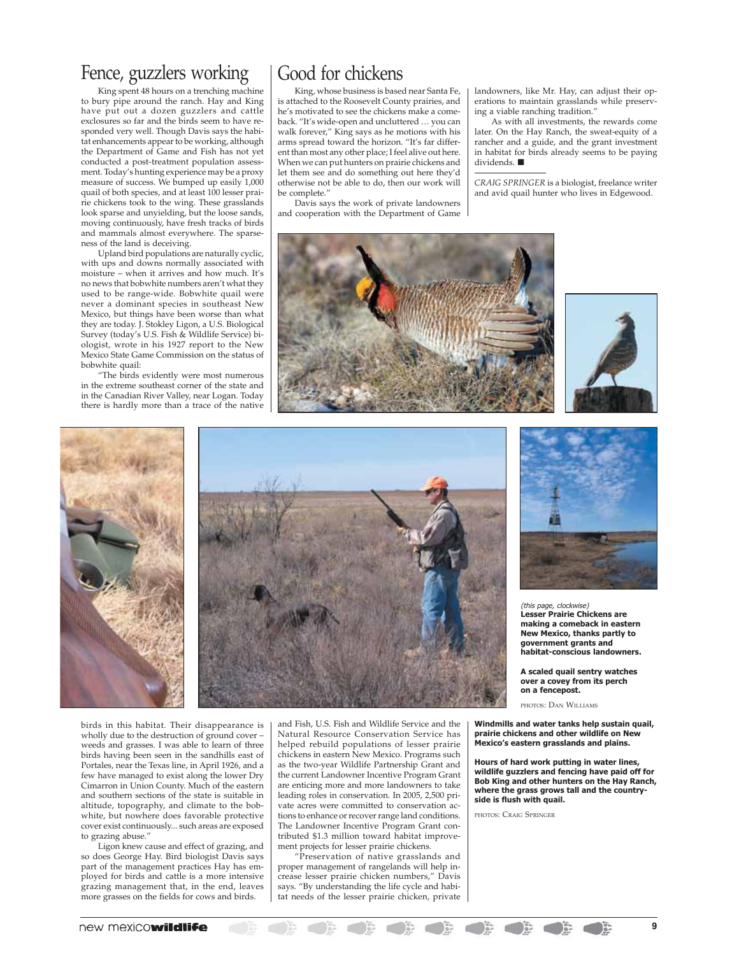# Fence, guzzlers working

King spent 48 hours on a trenching machine to bury pipe around the ranch. Hay and King have put out a dozen guzzlers and cattle exclosures so far and the birds seem to have responded very well. Though Davis says the habitat enhancements appear to be working, although the Department of Game and Fish has not yet conducted a post-treatment population assessment. Today's hunting experience may be a proxy measure of success. We bumped up easily 1,000 quail of both species, and at least 100 lesser prairie chickens took to the wing. These grasslands look sparse and unyielding, but the loose sands, moving continuously, have fresh tracks of birds and mammals almost everywhere. The sparseness of the land is deceiving.

Upland bird populations are naturally cyclic, with ups and downs normally associated with moisture – when it arrives and how much. It's no news that bobwhite numbers aren't what they used to be range-wide. Bobwhite quail were never a dominant species in southeast New Mexico, but things have been worse than what they are today. J. Stokley Ligon, a U.S. Biological Survey (today's U.S. Fish & Wildlife Service) biologist, wrote in his 1927 report to the New Mexico State Game Commission on the status of bobwhite quail:

"The birds evidently were most numerous in the extreme southeast corner of the state and in the Canadian River Valley, near Logan. Today there is hardly more than a trace of the native

# Good for chickens

King, whose business is based near Santa Fe, is attached to the Roosevelt County prairies, and he's motivated to see the chickens make a comeback. "It's wide-open and uncluttered … you can walk forever," King says as he motions with his arms spread toward the horizon. "It's far different than most any other place; I feel alive out here. When we can put hunters on prairie chickens and let them see and do something out here they'd otherwise not be able to do, then our work will be complete'

Davis says the work of private landowners and cooperation with the Department of Game landowners, like Mr. Hay, can adjust their operations to maintain grasslands while preserving a viable ranching tradition."

As with all investments, the rewards come later. On the Hay Ranch, the sweat-equity of a rancher and a guide, and the grant investment in habitat for birds already seems to be paying dividends. ■

*CRAIG SPRINGER* is a biologist, freelance writer and avid quail hunter who lives in Edgewood.









birds in this habitat. Their disappearance is wholly due to the destruction of ground cover – weeds and grasses. I was able to learn of three birds having been seen in the sandhills east of Portales, near the Texas line, in April 1926, and a few have managed to exist along the lower Dry Cimarron in Union County. Much of the eastern and southern sections of the state is suitable in altitude, topography, and climate to the bobwhite, but nowhere does favorable protective cover exist continuously... such areas are exposed to grazing abuse.'

Ligon knew cause and effect of grazing, and so does George Hay. Bird biologist Davis says part of the management practices Hay has employed for birds and cattle is a more intensive grazing management that, in the end, leaves more grasses on the fields for cows and birds.

and Fish, U.S. Fish and Wildlife Service and the Natural Resource Conservation Service has helped rebuild populations of lesser prairie chickens in eastern New Mexico. Programs such as the two-year Wildlife Partnership Grant and the current Landowner Incentive Program Grant are enticing more and more landowners to take leading roles in conservation. In 2005, 2,500 private acres were committed to conservation actions to enhance or recover range land conditions. The Landowner Incentive Program Grant contributed \$1.3 million toward habitat improvement projects for lesser prairie chickens.

"Preservation of native grasslands and proper management of rangelands will help increase lesser prairie chicken numbers," Davis says. "By understanding the life cycle and habitat needs of the lesser prairie chicken, private



(this page, clockwise) **Lesser Prairie Chickens are making a comeback in eastern New Mexico, thanks partly to government grants and habitat-conscious landowners.**

**A scaled quail sentry watches over a covey from its perch on a fencepost.**

PHOTOS: DAN WILLIAMS

**Windmills and water tanks help sustain quail, prairie chickens and other wildlife on New Mexico's eastern grasslands and plains.**

**Hours of hard work putting in water lines, wildlife guzzlers and fencing have paid off for Bob King and other hunters on the Hay Ranch, where the grass grows tall and the countryside is flush with quail.**

 $\begin{array}{c} \bullet & \bullet \\ \bullet & \bullet \end{array}$ 

PHOTOS: CRAIG SPRINGER

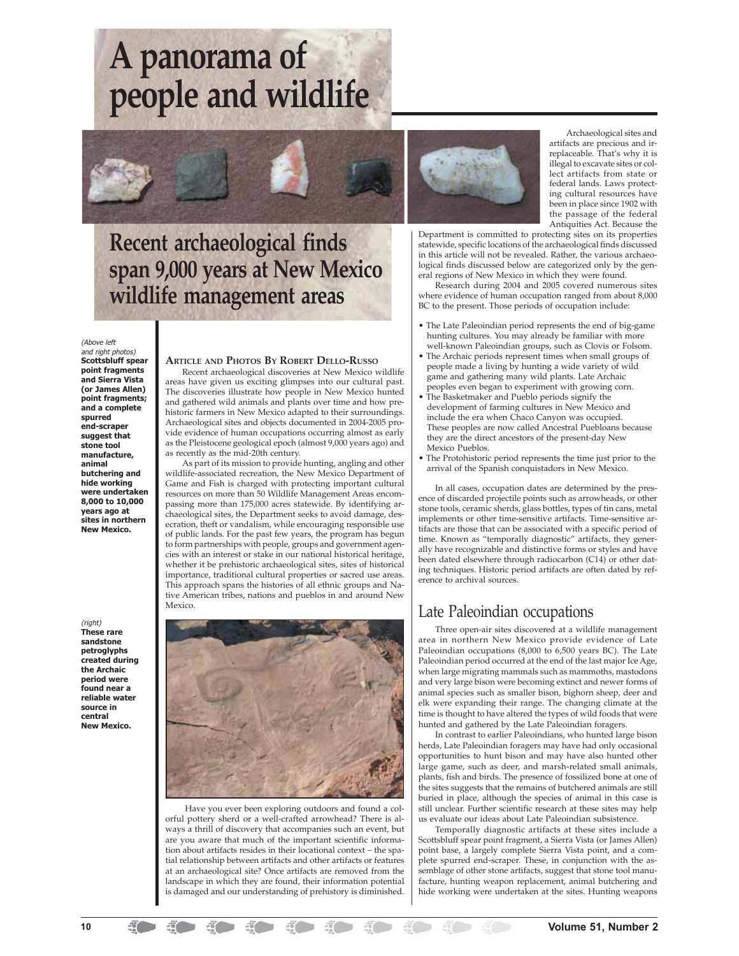# **A panorama of people and wildlife**

# **Recent archaeological finds span 9,000 years at New Mexico wildlife management areas**

### (Above left

and right photos) **Scottsbluff spear point fragments and Sierra Vista (or James Allen) point fragments; and a complete spurred end-scraper suggest that stone tool manufacture, animal butchering and hide working were undertaken 8,000 to 10,000 years ago at sites in northern New Mexico.**

(right) **These rare sandstone petroglyphs created during the Archaic period were found near a reliable water source in central New Mexico.**

### **ARTICLE AND PHOTOS BY ROBERT DELLO-RUSSO**

Recent archaeological discoveries at New Mexico wildlife areas have given us exciting glimpses into our cultural past. The discoveries illustrate how people in New Mexico hunted and gathered wild animals and plants over time and how prehistoric farmers in New Mexico adapted to their surroundings. Archaeological sites and objects documented in 2004-2005 provide evidence of human occupations occurring almost as early as the Pleistocene geological epoch (almost 9,000 years ago) and as recently as the mid-20th century.

As part of its mission to provide hunting, angling and other wildlife-associated recreation, the New Mexico Department of Game and Fish is charged with protecting important cultural resources on more than 50 Wildlife Management Areas encompassing more than 175,000 acres statewide. By identifying archaeological sites, the Department seeks to avoid damage, desecration, theft or vandalism, while encouraging responsible use of public lands. For the past few years, the program has begun to form partnerships with people, groups and government agencies with an interest or stake in our national historical heritage, whether it be prehistoric archaeological sites, sites of historical importance, traditional cultural properties or sacred use areas. This approach spans the histories of all ethnic groups and Native American tribes, nations and pueblos in and around New Mexico.



 Have you ever been exploring outdoors and found a colorful pottery sherd or a well-crafted arrowhead? There is always a thrill of discovery that accompanies such an event, but are you aware that much of the important scientific information about artifacts resides in their locational context – the spatial relationship between artifacts and other artifacts or features at an archaeological site? Once artifacts are removed from the landscape in which they are found, their information potential is damaged and our understanding of prehistory is diminished.



Archaeological sites and artifacts are precious and irreplaceable. That's why it is illegal to excavate sites or collect artifacts from state or federal lands. Laws protecting cultural resources have been in place since 1902 with the passage of the federal Antiquities Act. Because the

Department is committed to protecting sites on its properties statewide, specific locations of the archaeological finds discussed in this article will not be revealed. Rather, the various archaeological finds discussed below are categorized only by the general regions of New Mexico in which they were found.

Research during 2004 and 2005 covered numerous sites where evidence of human occupation ranged from about 8,000 BC to the present. Those periods of occupation include:

- The Late Paleoindian period represents the end of big-game hunting cultures. You may already be familiar with more well-known Paleoindian groups, such as Clovis or Folsom.
- The Archaic periods represent times when small groups of people made a living by hunting a wide variety of wild game and gathering many wild plants. Late Archaic
- peoples even began to experiment with growing corn. • The Basketmaker and Pueblo periods signify the development of farming cultures in New Mexico and include the era when Chaco Canyon was occupied. These peoples are now called Ancestral Puebloans because they are the direct ancestors of the present-day New Mexico Pueblos.
- The Protohistoric period represents the time just prior to the arrival of the Spanish conquistadors in New Mexico.

In all cases, occupation dates are determined by the presence of discarded projectile points such as arrowheads, or other stone tools, ceramic sherds, glass bottles, types of tin cans, metal implements or other time-sensitive artifacts. Time-sensitive artifacts are those that can be associated with a specific period of time. Known as "temporally diagnostic" artifacts, they generally have recognizable and distinctive forms or styles and have been dated elsewhere through radiocarbon (C14) or other dating techniques. Historic period artifacts are often dated by reference to archival sources.

### Late Paleoindian occupations

Three open-air sites discovered at a wildlife management area in northern New Mexico provide evidence of Late Paleoindian occupations (8,000 to 6,500 years BC). The Late Paleoindian period occurred at the end of the last major Ice Age, when large migrating mammals such as mammoths, mastodons and very large bison were becoming extinct and newer forms of animal species such as smaller bison, bighorn sheep, deer and elk were expanding their range. The changing climate at the time is thought to have altered the types of wild foods that were hunted and gathered by the Late Paleoindian foragers.

In contrast to earlier Paleoindians, who hunted large bison herds, Late Paleoindian foragers may have had only occasional opportunities to hunt bison and may have also hunted other large game, such as deer, and marsh-related small animals, plants, fish and birds. The presence of fossilized bone at one of the sites suggests that the remains of butchered animals are still buried in place, although the species of animal in this case is still unclear. Further scientific research at these sites may help us evaluate our ideas about Late Paleoindian subsistence.

Temporally diagnostic artifacts at these sites include a Scottsbluff spear point fragment, a Sierra Vista (or James Allen) point base, a largely complete Sierra Vista point, and a complete spurred end-scraper. These, in conjunction with the assemblage of other stone artifacts, suggest that stone tool manufacture, hunting weapon replacement, animal butchering and hide working were undertaken at the sites. Hunting weapons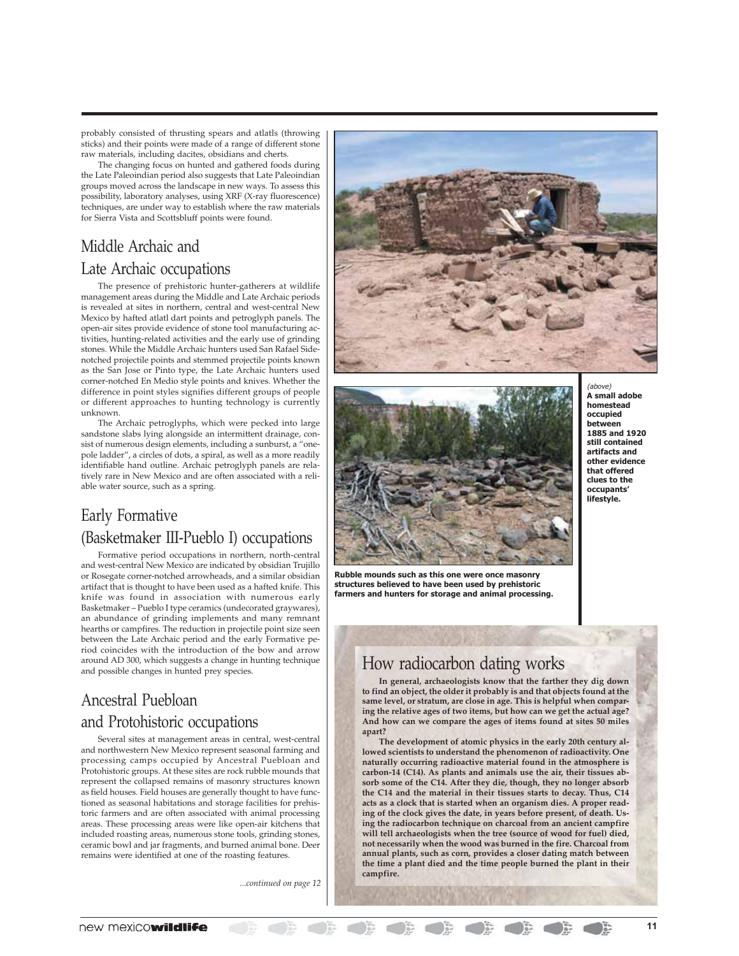probably consisted of thrusting spears and atlatls (throwing sticks) and their points were made of a range of different stone raw materials, including dacites, obsidians and cherts.

The changing focus on hunted and gathered foods during the Late Paleoindian period also suggests that Late Paleoindian groups moved across the landscape in new ways. To assess this possibility, laboratory analyses, using XRF (X-ray fluorescence) techniques, are under way to establish where the raw materials for Sierra Vista and Scottsbluff points were found.

### Middle Archaic and Late Archaic occupations

The presence of prehistoric hunter-gatherers at wildlife management areas during the Middle and Late Archaic periods is revealed at sites in northern, central and west-central New Mexico by hafted atlatl dart points and petroglyph panels. The open-air sites provide evidence of stone tool manufacturing activities, hunting-related activities and the early use of grinding stones. While the Middle Archaic hunters used San Rafael Sidenotched projectile points and stemmed projectile points known as the San Jose or Pinto type, the Late Archaic hunters used corner-notched En Medio style points and knives. Whether the difference in point styles signifies different groups of people or different approaches to hunting technology is currently unknown.

The Archaic petroglyphs, which were pecked into large sandstone slabs lying alongside an intermittent drainage, consist of numerous design elements, including a sunburst, a "onepole ladder", a circles of dots, a spiral, as well as a more readily identifiable hand outline. Archaic petroglyph panels are relatively rare in New Mexico and are often associated with a reliable water source, such as a spring.

### Early Formative (Basketmaker III-Pueblo I) occupations

Formative period occupations in northern, north-central and west-central New Mexico are indicated by obsidian Trujillo or Rosegate corner-notched arrowheads, and a similar obsidian artifact that is thought to have been used as a hafted knife. This knife was found in association with numerous early Basketmaker – Pueblo I type ceramics (undecorated graywares), an abundance of grinding implements and many remnant hearths or campfires. The reduction in projectile point size seen between the Late Archaic period and the early Formative period coincides with the introduction of the bow and arrow around AD 300, which suggests a change in hunting technique and possible changes in hunted prey species.

# Ancestral Puebloan and Protohistoric occupations

Several sites at management areas in central, west-central and northwestern New Mexico represent seasonal farming and processing camps occupied by Ancestral Puebloan and Protohistoric groups. At these sites are rock rubble mounds that represent the collapsed remains of masonry structures known as field houses. Field houses are generally thought to have functioned as seasonal habitations and storage facilities for prehistoric farmers and are often associated with animal processing areas. These processing areas were like open-air kitchens that included roasting areas, numerous stone tools, grinding stones, ceramic bowl and jar fragments, and burned animal bone. Deer remains were identified at one of the roasting features.

*...continued on page 12*





**Rubble mounds such as this one were once masonry structures believed to have been used by prehistoric farmers and hunters for storage and animal processing.**

### (above) **A small adobe homestead occupied between 1885 and 1920 still contained artifacts and other evidence that offered clues to the occupants' lifestyle.**

### How radiocarbon dating works

**In general, archaeologists know that the farther they dig down to find an object, the older it probably is and that objects found at the same level, or stratum, are close in age. This is helpful when comparing the relative ages of two items, but how can we get the actual age? And how can we compare the ages of items found at sites 50 miles apart?**

**The development of atomic physics in the early 20th century allowed scientists to understand the phenomenon of radioactivity. One naturally occurring radioactive material found in the atmosphere is carbon-14 (C14). As plants and animals use the air, their tissues absorb some of the C14. After they die, though, they no longer absorb the C14 and the material in their tissues starts to decay. Thus, C14 acts as a clock that is started when an organism dies. A proper reading of the clock gives the date, in years before present, of death. Using the radiocarbon technique on charcoal from an ancient campfire will tell archaeologists when the tree (source of wood for fuel) died, not necessarily when the wood was burned in the fire. Charcoal from annual plants, such as corn, provides a closer dating match between the time a plant died and the time people burned the plant in their campfire.**

 $\sum_{i=1}^{n}$ 

 $\begin{array}{c} \begin{array}{c} \text{if } \mathbf{r} \in \mathbb{R} \end{array} \\ \begin{array}{c} \text{if } \mathbf{r} \in \mathbb{R} \end{array} \end{array}$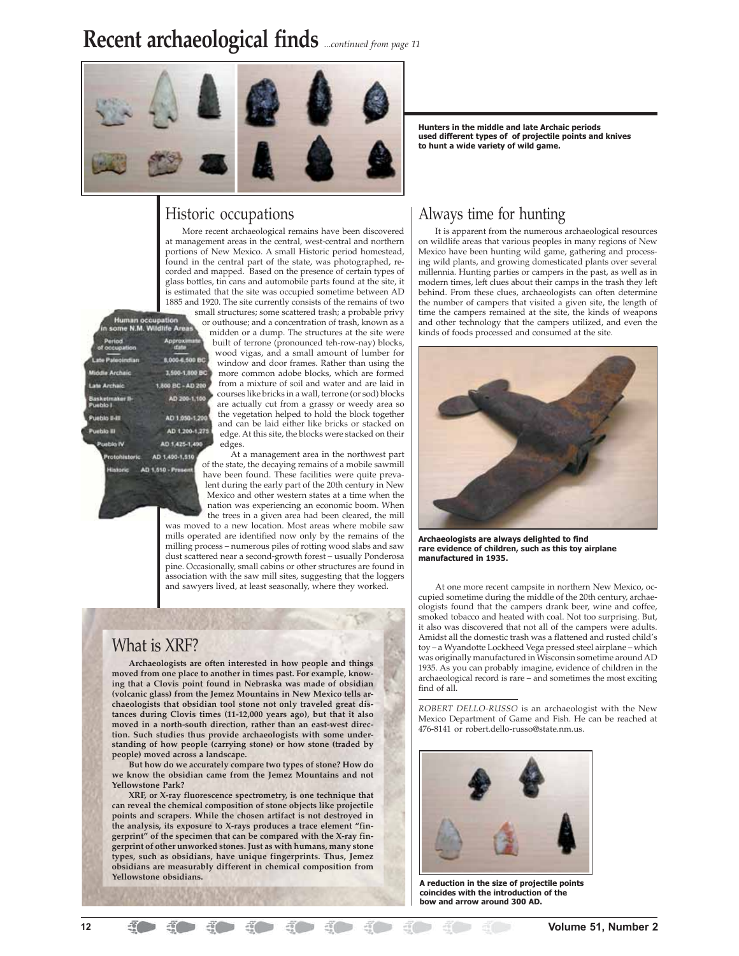# **Recent archaeological finds** *...continued from page 11*



### Historic occupations

More recent archaeological remains have been discovered at management areas in the central, west-central and northern portions of New Mexico. A small Historic period homestead, found in the central part of the state, was photographed, recorded and mapped. Based on the presence of certain types of glass bottles, tin cans and automobile parts found at the site, it is estimated that the site was occupied sometime between AD 1885 and 1920. The site currently consists of the remains of two small structures; some scattered trash; a probable privy

| <b>Human occupation</b><br>or c<br>in some N.M. Wildlife Areas<br>m |                         |
|---------------------------------------------------------------------|-------------------------|
| <b>Period</b><br>of occupation                                      | Approx<br>ŀ<br>Hato     |
| tte Paleoindian                                                     | 8,000-6,500 BC          |
| <b>Middle Archaic</b>                                               | 3,500-1,800 BC          |
| Late Archaic                                                        | 1,800 BC - AD 200       |
| Basketmaker B-<br>Pueblo I                                          | AD 200-1,100            |
| Pueblo II-III                                                       | AD 1.050-1.200          |
| Pueblo III                                                          | AD 1:200-1:275          |
| Pueble IV                                                           | AD 1,425-1,490          |
| Protohistoric.                                                      | AD 1,490-1,510<br>of tl |

outhouse; and a concentration of trash, known as a midden or a dump. The structures at the site were built of terrone (pronounced teh-row-nay) blocks, wood vigas, and a small amount of lumber for window and door frames. Rather than using the more common adobe blocks, which are formed from a mixture of soil and water and are laid in

courses like bricks in a wall, terrone (or sod) blocks are actually cut from a grassy or weedy area so the vegetation helped to hold the block together and can be laid either like bricks or stacked on edge. At this site, the blocks were stacked on their edges.

At a management area in the northwest part he state, the decaying remains of a mobile sawmill have been found. These facilities were quite prevalent during the early part of the 20th century in New Mexico and other western states at a time when the nation was experiencing an economic boom. When the trees in a given area had been cleared, the mill

was moved to a new location. Most areas where mobile saw mills operated are identified now only by the remains of the milling process – numerous piles of rotting wood slabs and saw dust scattered near a second-growth forest – usually Ponderosa pine. Occasionally, small cabins or other structures are found in association with the saw mill sites, suggesting that the loggers and sawyers lived, at least seasonally, where they worked.

### What is XRF?

**Archaeologists are often interested in how people and things moved from one place to another in times past. For example, knowing that a Clovis point found in Nebraska was made of obsidian (volcanic glass) from the Jemez Mountains in New Mexico tells archaeologists that obsidian tool stone not only traveled great distances during Clovis times (11-12,000 years ago), but that it also moved in a north-south direction, rather than an east-west direction. Such studies thus provide archaeologists with some understanding of how people (carrying stone) or how stone (traded by people) moved across a landscape.**

**But how do we accurately compare two types of stone? How do we know the obsidian came from the Jemez Mountains and not Yellowstone Park?**

**XRF, or X-ray fluorescence spectrometry, is one technique that can reveal the chemical composition of stone objects like projectile points and scrapers. While the chosen artifact is not destroyed in the analysis, its exposure to X-rays produces a trace element "fingerprint" of the specimen that can be compared with the X-ray fingerprint of other unworked stones. Just as with humans, many stone types, such as obsidians, have unique fingerprints. Thus, Jemez obsidians are measurably different in chemical composition from Yellowstone obsidians.**

**Hunters in the middle and late Archaic periods used different types of of projectile points and knives to hunt a wide variety of wild game.**

### Always time for hunting

It is apparent from the numerous archaeological resources on wildlife areas that various peoples in many regions of New Mexico have been hunting wild game, gathering and processing wild plants, and growing domesticated plants over several millennia. Hunting parties or campers in the past, as well as in modern times, left clues about their camps in the trash they left behind. From these clues, archaeologists can often determine the number of campers that visited a given site, the length of time the campers remained at the site, the kinds of weapons and other technology that the campers utilized, and even the kinds of foods processed and consumed at the site.



**Archaeologists are always delighted to find rare evidence of children, such as this toy airplane manufactured in 1935.**

At one more recent campsite in northern New Mexico, occupied sometime during the middle of the 20th century, archaeologists found that the campers drank beer, wine and coffee, smoked tobacco and heated with coal. Not too surprising. But, it also was discovered that not all of the campers were adults. Amidst all the domestic trash was a flattened and rusted child's toy – a Wyandotte Lockheed Vega pressed steel airplane – which was originally manufactured in Wisconsin sometime around AD 1935. As you can probably imagine, evidence of children in the archaeological record is rare – and sometimes the most exciting find of all<sup>.</sup>

*ROBERT DELLO-RUSSO* is an archaeologist with the New Mexico Department of Game and Fish. He can be reached at 476-8141 or robert.dello-russo@state.nm.us.



**A reduction in the size of projectile points coincides with the introduction of the bow and arrow around 300 AD.**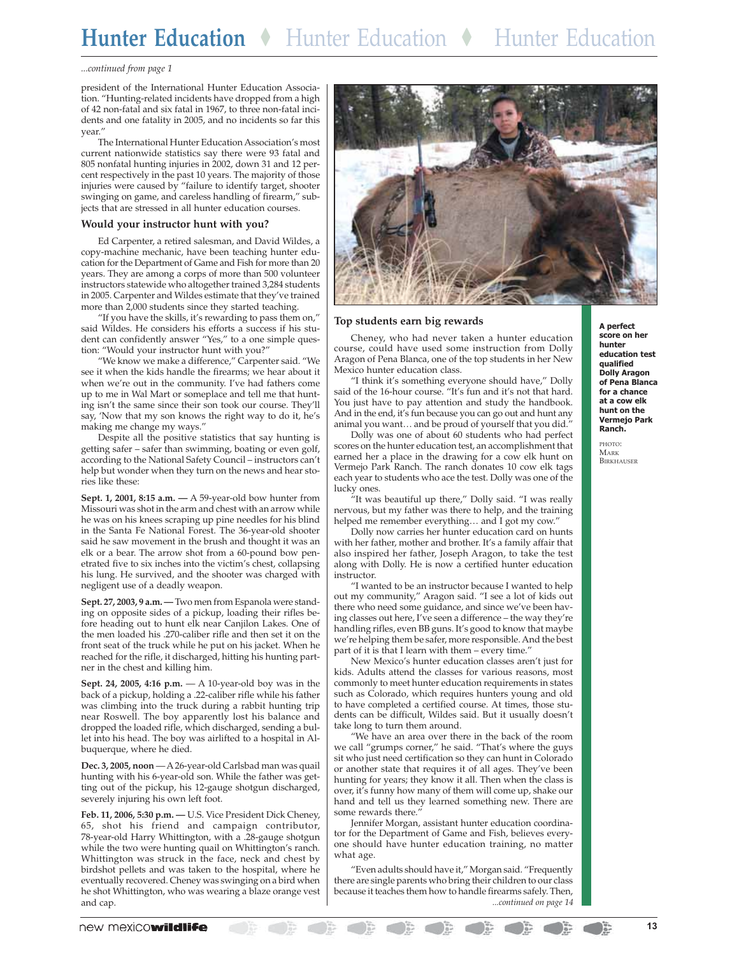# **Hunter Education** ◆Hunter Education◆Hunter Education

### *...continued from page 1*

president of the International Hunter Education Association. "Hunting-related incidents have dropped from a high of 42 non-fatal and six fatal in 1967, to three non-fatal incidents and one fatality in 2005, and no incidents so far this year."

The International Hunter Education Association's most current nationwide statistics say there were 93 fatal and 805 nonfatal hunting injuries in 2002, down 31 and 12 percent respectively in the past 10 years. The majority of those injuries were caused by "failure to identify target, shooter swinging on game, and careless handling of firearm," subjects that are stressed in all hunter education courses.

### **Would your instructor hunt with you?**

Ed Carpenter, a retired salesman, and David Wildes, a copy-machine mechanic, have been teaching hunter education for the Department of Game and Fish for more than 20 years. They are among a corps of more than 500 volunteer instructors statewide who altogether trained 3,284 students in 2005. Carpenter and Wildes estimate that they've trained more than 2,000 students since they started teaching.

"If you have the skills, it's rewarding to pass them on," said Wildes. He considers his efforts a success if his student can confidently answer "Yes," to a one simple question: "Would your instructor hunt with you?"

"We know we make a difference," Carpenter said. "We see it when the kids handle the firearms; we hear about it when we're out in the community. I've had fathers come up to me in Wal Mart or someplace and tell me that hunting isn't the same since their son took our course. They'll say, 'Now that my son knows the right way to do it, he's making me change my ways."

Despite all the positive statistics that say hunting is getting safer – safer than swimming, boating or even golf, according to the National Safety Council – instructors can't help but wonder when they turn on the news and hear stories like these:

**Sept. 1, 2001, 8:15 a.m. —** A 59-year-old bow hunter from Missouri was shot in the arm and chest with an arrow while he was on his knees scraping up pine needles for his blind in the Santa Fe National Forest. The 36-year-old shooter said he saw movement in the brush and thought it was an elk or a bear. The arrow shot from a 60-pound bow penetrated five to six inches into the victim's chest, collapsing his lung. He survived, and the shooter was charged with negligent use of a deadly weapon.

**Sept. 27, 2003, 9 a.m. —** Two men from Espanola were standing on opposite sides of a pickup, loading their rifles before heading out to hunt elk near Canjilon Lakes. One of the men loaded his .270-caliber rifle and then set it on the front seat of the truck while he put on his jacket. When he reached for the rifle, it discharged, hitting his hunting partner in the chest and killing him.

**Sept. 24, 2005, 4:16 p.m.** — A 10-year-old boy was in the back of a pickup, holding a .22-caliber rifle while his father was climbing into the truck during a rabbit hunting trip near Roswell. The boy apparently lost his balance and dropped the loaded rifle, which discharged, sending a bullet into his head. The boy was airlifted to a hospital in Albuquerque, where he died.

**Dec. 3, 2005, noon** — A 26-year-old Carlsbad man was quail hunting with his 6-year-old son. While the father was getting out of the pickup, his 12-gauge shotgun discharged, severely injuring his own left foot.

**Feb. 11, 2006, 5:30 p.m. —** U.S. Vice President Dick Cheney, 65, shot his friend and campaign contributor, 78-year-old Harry Whittington, with a .28-gauge shotgun while the two were hunting quail on Whittington's ranch. Whittington was struck in the face, neck and chest by birdshot pellets and was taken to the hospital, where he eventually recovered. Cheney was swinging on a bird when he shot Whittington, who was wearing a blaze orange vest and cap.



### **Top students earn big rewards**

Cheney, who had never taken a hunter education course, could have used some instruction from Dolly Aragon of Pena Blanca, one of the top students in her New Mexico hunter education class.

"I think it's something everyone should have," Dolly said of the 16-hour course. "It's fun and it's not that hard. You just have to pay attention and study the handbook. And in the end, it's fun because you can go out and hunt any animal you want… and be proud of yourself that you did."

Dolly was one of about 60 students who had perfect scores on the hunter education test, an accomplishment that earned her a place in the drawing for a cow elk hunt on Vermejo Park Ranch. The ranch donates 10 cow elk tags each year to students who ace the test. Dolly was one of the lucky ones.

"It was beautiful up there," Dolly said. "I was really nervous, but my father was there to help, and the training helped me remember everything… and I got my cow."

Dolly now carries her hunter education card on hunts with her father, mother and brother. It's a family affair that also inspired her father, Joseph Aragon, to take the test along with Dolly. He is now a certified hunter education instructor.

"I wanted to be an instructor because I wanted to help out my community," Aragon said. "I see a lot of kids out there who need some guidance, and since we've been having classes out here, I've seen a difference – the way they're handling rifles, even BB guns. It's good to know that maybe we're helping them be safer, more responsible. And the best part of it is that I learn with them – every time."

New Mexico's hunter education classes aren't just for kids. Adults attend the classes for various reasons, most commonly to meet hunter education requirements in states such as Colorado, which requires hunters young and old to have completed a certified course. At times, those students can be difficult, Wildes said. But it usually doesn't take long to turn them around.

"We have an area over there in the back of the room we call "grumps corner," he said. "That's where the guys sit who just need certification so they can hunt in Colorado or another state that requires it of all ages. They've been hunting for years; they know it all. Then when the class is over, it's funny how many of them will come up, shake our hand and tell us they learned something new. There are some rewards there."

Jennifer Morgan, assistant hunter education coordinator for the Department of Game and Fish, believes everyone should have hunter education training, no matter what age.

"Even adults should have it," Morgan said. "Frequently there are single parents who bring their children to our class because it teaches them how to handle firearms safely. Then, *...continued on page 14* **A perfect score on her hunter education test qualified Dolly Aragon of Pena Blanca for a chance at a cow elk hunt on the Vermejo Park Ranch.**

PHOTO: MARK **BIRKHAUSER**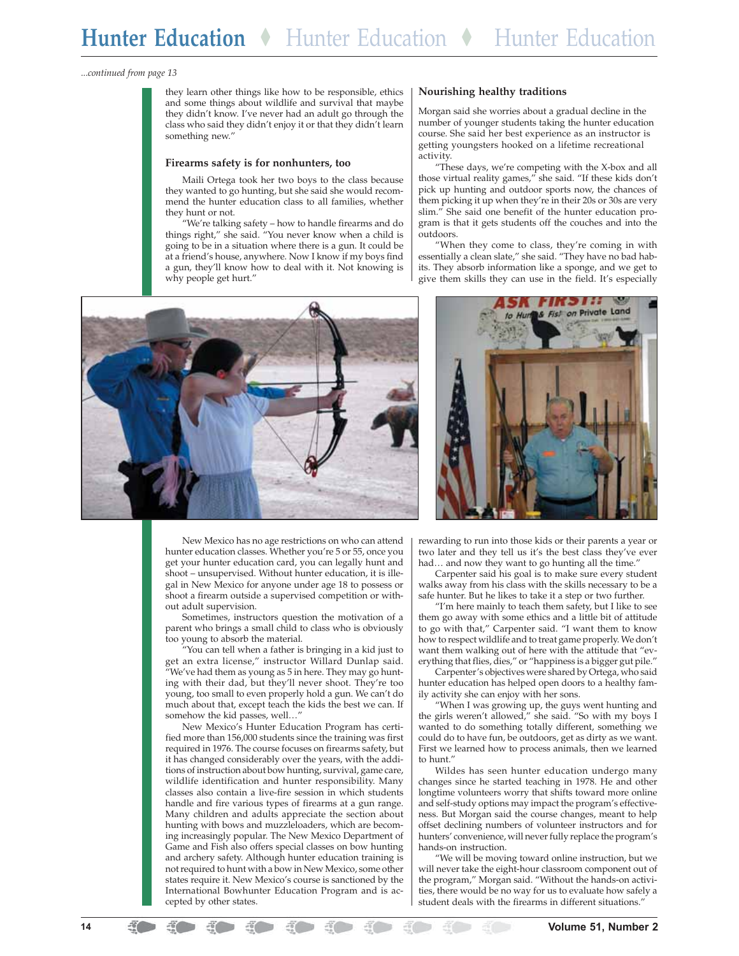*...continued from page 13*

they learn other things like how to be responsible, ethics and some things about wildlife and survival that maybe they didn't know. I've never had an adult go through the class who said they didn't enjoy it or that they didn't learn something new."

### **Firearms safety is for nonhunters, too**

Maili Ortega took her two boys to the class because they wanted to go hunting, but she said she would recommend the hunter education class to all families, whether they hunt or not.

"We're talking safety – how to handle firearms and do things right," she said. "You never know when a child is going to be in a situation where there is a gun. It could be at a friend's house, anywhere. Now I know if my boys find a gun, they'll know how to deal with it. Not knowing is why people get hurt."



Morgan said she worries about a gradual decline in the number of younger students taking the hunter education course. She said her best experience as an instructor is getting youngsters hooked on a lifetime recreational activity.

"These days, we're competing with the X-box and all those virtual reality games," she said. "If these kids don't pick up hunting and outdoor sports now, the chances of them picking it up when they're in their 20s or 30s are very slim." She said one benefit of the hunter education program is that it gets students off the couches and into the outdoors.

"When they come to class, they're coming in with essentially a clean slate," she said. "They have no bad habits. They absorb information like a sponge, and we get to give them skills they can use in the field. It's especially





New Mexico has no age restrictions on who can attend hunter education classes. Whether you're 5 or 55, once you get your hunter education card, you can legally hunt and shoot – unsupervised. Without hunter education, it is illegal in New Mexico for anyone under age 18 to possess or shoot a firearm outside a supervised competition or without adult supervision.

Sometimes, instructors question the motivation of a parent who brings a small child to class who is obviously too young to absorb the material.

"You can tell when a father is bringing in a kid just to get an extra license," instructor Willard Dunlap said. "We've had them as young as 5 in here. They may go hunting with their dad, but they'll never shoot. They're too young, too small to even properly hold a gun. We can't do much about that, except teach the kids the best we can. If somehow the kid passes, well…"

New Mexico's Hunter Education Program has certified more than 156,000 students since the training was first required in 1976. The course focuses on firearms safety, but it has changed considerably over the years, with the additions of instruction about bow hunting, survival, game care, wildlife identification and hunter responsibility. Many classes also contain a live-fire session in which students handle and fire various types of firearms at a gun range. Many children and adults appreciate the section about hunting with bows and muzzleloaders, which are becoming increasingly popular. The New Mexico Department of Game and Fish also offers special classes on bow hunting and archery safety. Although hunter education training is not required to hunt with a bow in New Mexico, some other states require it. New Mexico's course is sanctioned by the International Bowhunter Education Program and is accepted by other states.

rewarding to run into those kids or their parents a year or two later and they tell us it's the best class they've ever had... and now they want to go hunting all the time."

Carpenter said his goal is to make sure every student walks away from his class with the skills necessary to be a safe hunter. But he likes to take it a step or two further.

"I'm here mainly to teach them safety, but I like to see them go away with some ethics and a little bit of attitude to go with that," Carpenter said. "I want them to know how to respect wildlife and to treat game properly. We don't want them walking out of here with the attitude that "everything that flies, dies," or "happiness is a bigger gut pile."

Carpenter's objectives were shared by Ortega, who said hunter education has helped open doors to a healthy family activity she can enjoy with her sons.

"When I was growing up, the guys went hunting and the girls weren't allowed," she said. "So with my boys I wanted to do something totally different, something we could do to have fun, be outdoors, get as dirty as we want. First we learned how to process animals, then we learned to hunt."

Wildes has seen hunter education undergo many changes since he started teaching in 1978. He and other longtime volunteers worry that shifts toward more online and self-study options may impact the program's effectiveness. But Morgan said the course changes, meant to help offset declining numbers of volunteer instructors and for hunters' convenience, will never fully replace the program's hands-on instruction.

"We will be moving toward online instruction, but we will never take the eight-hour classroom component out of the program," Morgan said. "Without the hands-on activities, there would be no way for us to evaluate how safely a student deals with the firearms in different situations."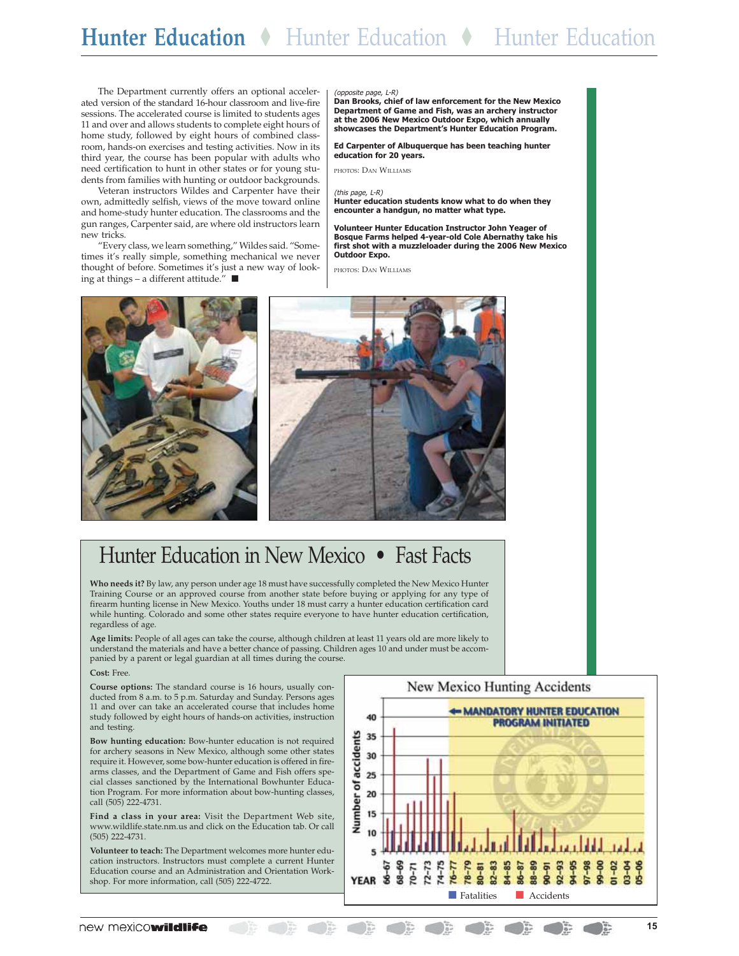The Department currently offers an optional accelerated version of the standard 16-hour classroom and live-fire sessions. The accelerated course is limited to students ages 11 and over and allows students to complete eight hours of home study, followed by eight hours of combined classroom, hands-on exercises and testing activities. Now in its third year, the course has been popular with adults who need certification to hunt in other states or for young students from families with hunting or outdoor backgrounds.

Veteran instructors Wildes and Carpenter have their own, admittedly selfish, views of the move toward online and home-study hunter education. The classrooms and the gun ranges, Carpenter said, are where old instructors learn new tricks.

"Every class, we learn something," Wildes said. "Sometimes it's really simple, something mechanical we never thought of before. Sometimes it's just a new way of looking at things – a different attitude."  $\blacksquare$ 

### (opposite page, L-R)

**Dan Brooks, chief of law enforcement for the New Mexico Department of Game and Fish, was an archery instructor at the 2006 New Mexico Outdoor Expo, which annually showcases the Department's Hunter Education Program.**

**Ed Carpenter of Albuquerque has been teaching hunter education for 20 years.**

PHOTOS: DAN WILLIAMS

### (this page, L-R)

**Hunter education students know what to do when they encounter a handgun, no matter what type.**

**Volunteer Hunter Education Instructor John Yeager of Bosque Farms helped 4-year-old Cole Abernathy take his first shot with a muzzleloader during the 2006 New Mexico Outdoor Expo.**

PHOTOS: DAN WILLIAMS





# Hunter Education in New Mexico • Fast Facts

**Who needs it?** By law, any person under age 18 must have successfully completed the New Mexico Hunter Training Course or an approved course from another state before buying or applying for any type of firearm hunting license in New Mexico. Youths under 18 must carry a hunter education certification card while hunting. Colorado and some other states require everyone to have hunter education certification, regardless of age.

**Age limits:** People of all ages can take the course, although children at least 11 years old are more likely to understand the materials and have a better chance of passing. Children ages 10 and under must be accompanied by a parent or legal guardian at all times during the course.

### **Cost:** Free.

**Course options:** The standard course is 16 hours, usually conducted from 8 a.m. to 5 p.m. Saturday and Sunday. Persons ages 11 and over can take an accelerated course that includes home study followed by eight hours of hands-on activities, instruction and testing.

**Bow hunting education:** Bow-hunter education is not required for archery seasons in New Mexico, although some other states require it. However, some bow-hunter education is offered in firearms classes, and the Department of Game and Fish offers special classes sanctioned by the International Bowhunter Education Program. For more information about bow-hunting classes, call (505) 222-4731.

**Find a class in your area:** Visit the Department Web site, www.wildlife.state.nm.us and click on the Education tab. Or call (505) 222-4731.

**Volunteer to teach:** The Department welcomes more hunter education instructors. Instructors must complete a current Hunter Education course and an Administration and Orientation Workshop. For more information, call (505) 222-4722.



 $\rightarrow$ 

 $32 - 10 = 10$ 

 $\bigcirc$ 

( ) 第

 $\begin{array}{ccc} \bullet & \bullet \\ \bullet & \bullet \end{array}$